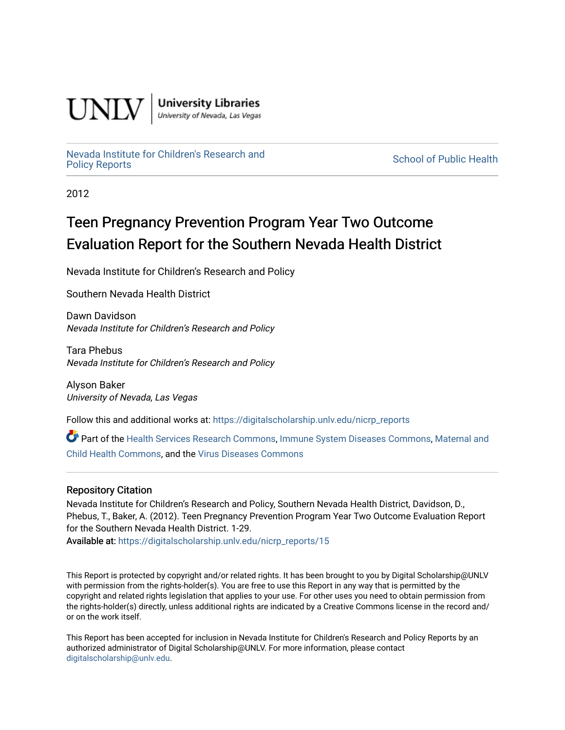

**University Libraries**<br>University of Nevada, Las Vegas

# [Nevada Institute for Children's Research and](https://digitalscholarship.unlv.edu/nicrp_reports)

**School of Public Health** 

2012

# Teen Pregnancy Prevention Program Year Two Outcome Evaluation Report for the Southern Nevada Health District

Nevada Institute for Children's Research and Policy

Southern Nevada Health District

Dawn Davidson Nevada Institute for Children's Research and Policy

Tara Phebus Nevada Institute for Children's Research and Policy

Alyson Baker University of Nevada, Las Vegas

Follow this and additional works at: [https://digitalscholarship.unlv.edu/nicrp\\_reports](https://digitalscholarship.unlv.edu/nicrp_reports?utm_source=digitalscholarship.unlv.edu%2Fnicrp_reports%2F15&utm_medium=PDF&utm_campaign=PDFCoverPages)

Part of the [Health Services Research Commons,](http://network.bepress.com/hgg/discipline/816?utm_source=digitalscholarship.unlv.edu%2Fnicrp_reports%2F15&utm_medium=PDF&utm_campaign=PDFCoverPages) [Immune System Diseases Commons](http://network.bepress.com/hgg/discipline/933?utm_source=digitalscholarship.unlv.edu%2Fnicrp_reports%2F15&utm_medium=PDF&utm_campaign=PDFCoverPages), [Maternal and](http://network.bepress.com/hgg/discipline/745?utm_source=digitalscholarship.unlv.edu%2Fnicrp_reports%2F15&utm_medium=PDF&utm_campaign=PDFCoverPages) [Child Health Commons,](http://network.bepress.com/hgg/discipline/745?utm_source=digitalscholarship.unlv.edu%2Fnicrp_reports%2F15&utm_medium=PDF&utm_campaign=PDFCoverPages) and the [Virus Diseases Commons](http://network.bepress.com/hgg/discipline/998?utm_source=digitalscholarship.unlv.edu%2Fnicrp_reports%2F15&utm_medium=PDF&utm_campaign=PDFCoverPages) 

#### Repository Citation

Nevada Institute for Children's Research and Policy, Southern Nevada Health District, Davidson, D., Phebus, T., Baker, A. (2012). Teen Pregnancy Prevention Program Year Two Outcome Evaluation Report for the Southern Nevada Health District. 1-29.

Available at: [https://digitalscholarship.unlv.edu/nicrp\\_reports/15](https://digitalscholarship.unlv.edu/nicrp_reports/15) 

This Report is protected by copyright and/or related rights. It has been brought to you by Digital Scholarship@UNLV with permission from the rights-holder(s). You are free to use this Report in any way that is permitted by the copyright and related rights legislation that applies to your use. For other uses you need to obtain permission from the rights-holder(s) directly, unless additional rights are indicated by a Creative Commons license in the record and/ or on the work itself.

This Report has been accepted for inclusion in Nevada Institute for Children's Research and Policy Reports by an authorized administrator of Digital Scholarship@UNLV. For more information, please contact [digitalscholarship@unlv.edu](mailto:digitalscholarship@unlv.edu).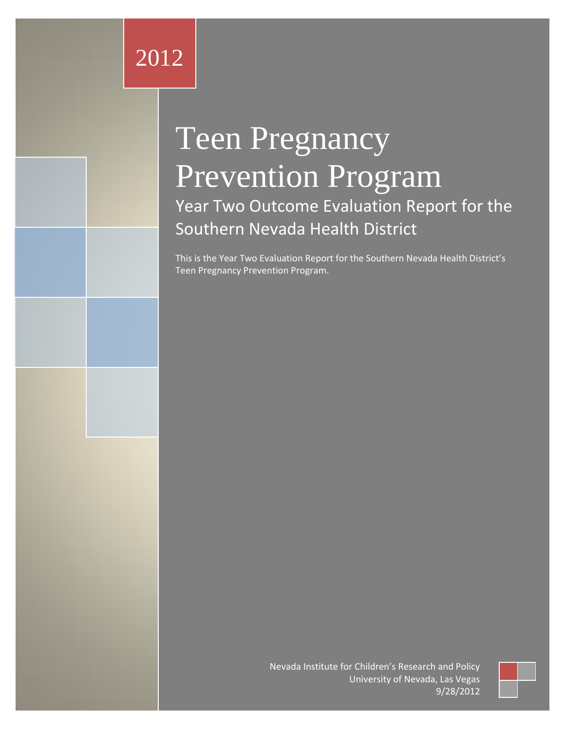Nevada Institute for Children's Research and Policy

# Teen Pregnancy Prevention Program

Year Two Outcome Evaluation Report for the Southern Nevada Health District

This is the Year Two Evaluation Report for the Southern Nevada Health District's Teen Pregnancy Prevention Program.

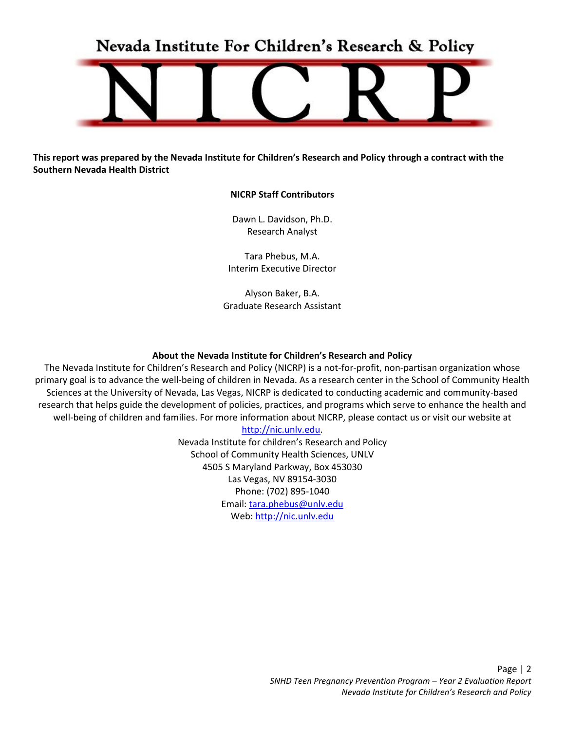Nevada Institute For Children's Research & Policy



**This report was prepared by the Nevada Institute for Children's Research and Policy through a contract with the Southern Nevada Health District**

#### **NICRP Staff Contributors**

Dawn L. Davidson, Ph.D. Research Analyst

Tara Phebus, M.A. Interim Executive Director

Alyson Baker, B.A. Graduate Research Assistant

#### **About the Nevada Institute for Children's Research and Policy**

The Nevada Institute for Children's Research and Policy (NICRP) is a not-for-profit, non-partisan organization whose primary goal is to advance the well-being of children in Nevada. As a research center in the School of Community Health Sciences at the University of Nevada, Las Vegas, NICRP is dedicated to conducting academic and community-based research that helps guide the development of policies, practices, and programs which serve to enhance the health and well-being of children and families. For more information about NICRP, please contact us or visit our website at

#### [http://nic.unlv.edu.](http://nic.unlv.edu/)

Nevada Institute for children's Research and Policy School of Community Health Sciences, UNLV 4505 S Maryland Parkway, Box 453030 Las Vegas, NV 89154-3030 Phone: (702) 895-1040 Email[: tara.phebus@unlv.edu](mailto:denise.tanata@unlv.edu) Web[: http://nic.unlv.edu](http://nic.unlv.edu/)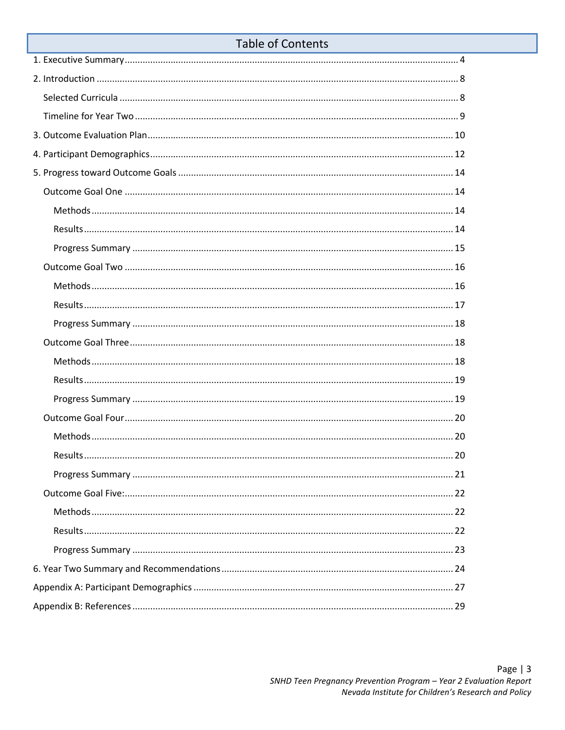|  | <b>Table of Contents</b> |  |
|--|--------------------------|--|
|  |                          |  |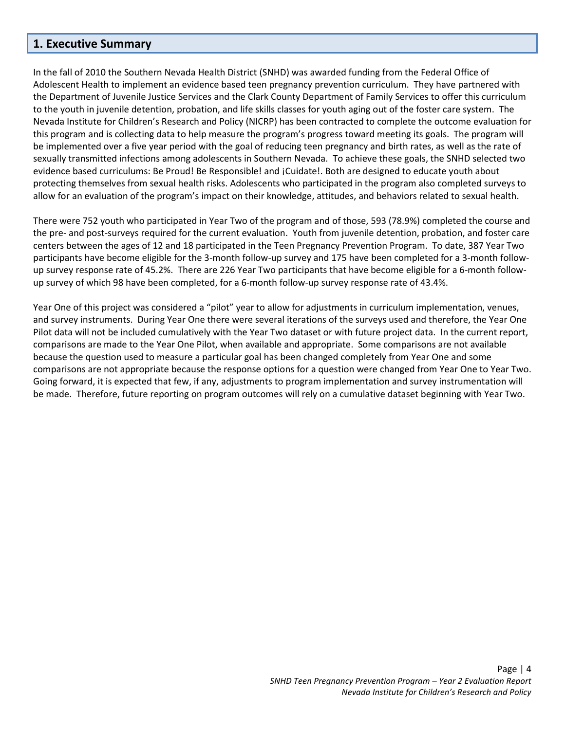#### <span id="page-4-0"></span>**1. Executive Summary**

In the fall of 2010 the Southern Nevada Health District (SNHD) was awarded funding from the Federal Office of Adolescent Health to implement an evidence based teen pregnancy prevention curriculum. They have partnered with the Department of Juvenile Justice Services and the Clark County Department of Family Services to offer this curriculum to the youth in juvenile detention, probation, and life skills classes for youth aging out of the foster care system. The Nevada Institute for Children's Research and Policy (NICRP) has been contracted to complete the outcome evaluation for this program and is collecting data to help measure the program's progress toward meeting its goals. The program will be implemented over a five year period with the goal of reducing teen pregnancy and birth rates, as well as the rate of sexually transmitted infections among adolescents in Southern Nevada. To achieve these goals, the SNHD selected two evidence based curriculums: Be Proud! Be Responsible! and ¡Cuidate!. Both are designed to educate youth about protecting themselves from sexual health risks. Adolescents who participated in the program also completed surveys to allow for an evaluation of the program's impact on their knowledge, attitudes, and behaviors related to sexual health.

There were 752 youth who participated in Year Two of the program and of those, 593 (78.9%) completed the course and the pre- and post-surveys required for the current evaluation. Youth from juvenile detention, probation, and foster care centers between the ages of 12 and 18 participated in the Teen Pregnancy Prevention Program. To date, 387 Year Two participants have become eligible for the 3-month follow-up survey and 175 have been completed for a 3-month followup survey response rate of 45.2%. There are 226 Year Two participants that have become eligible for a 6-month followup survey of which 98 have been completed, for a 6-month follow-up survey response rate of 43.4%.

Year One of this project was considered a "pilot" year to allow for adjustments in curriculum implementation, venues, and survey instruments. During Year One there were several iterations of the surveys used and therefore, the Year One Pilot data will not be included cumulatively with the Year Two dataset or with future project data. In the current report, comparisons are made to the Year One Pilot, when available and appropriate. Some comparisons are not available because the question used to measure a particular goal has been changed completely from Year One and some comparisons are not appropriate because the response options for a question were changed from Year One to Year Two. Going forward, it is expected that few, if any, adjustments to program implementation and survey instrumentation will be made. Therefore, future reporting on program outcomes will rely on a cumulative dataset beginning with Year Two.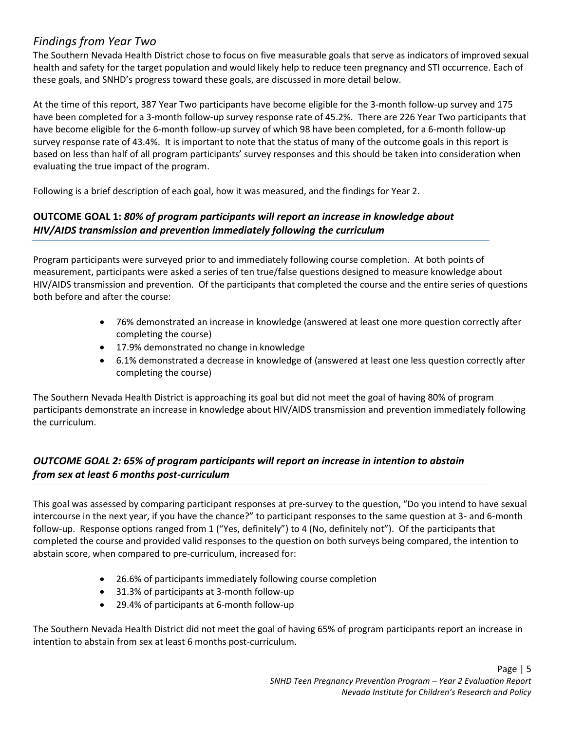# *Findings from Year Two*

The Southern Nevada Health District chose to focus on five measurable goals that serve as indicators of improved sexual health and safety for the target population and would likely help to reduce teen pregnancy and STI occurrence. Each of these goals, and SNHD's progress toward these goals, are discussed in more detail below.

At the time of this report, 387 Year Two participants have become eligible for the 3-month follow-up survey and 175 have been completed for a 3-month follow-up survey response rate of 45.2%. There are 226 Year Two participants that have become eligible for the 6-month follow-up survey of which 98 have been completed, for a 6-month follow-up survey response rate of 43.4%. It is important to note that the status of many of the outcome goals in this report is based on less than half of all program participants' survey responses and this should be taken into consideration when evaluating the true impact of the program.

Following is a brief description of each goal, how it was measured, and the findings for Year 2.

# **OUTCOME GOAL 1:** *80% of program participants will report an increase in knowledge about HIV/AIDS transmission and prevention immediately following the curriculum*

Program participants were surveyed prior to and immediately following course completion. At both points of measurement, participants were asked a series of ten true/false questions designed to measure knowledge about HIV/AIDS transmission and prevention. Of the participants that completed the course and the entire series of questions both before and after the course:

- 76% demonstrated an increase in knowledge (answered at least one more question correctly after completing the course)
- 17.9% demonstrated no change in knowledge
- 6.1% demonstrated a decrease in knowledge of (answered at least one less question correctly after completing the course)

The Southern Nevada Health District is approaching its goal but did not meet the goal of having 80% of program participants demonstrate an increase in knowledge about HIV/AIDS transmission and prevention immediately following the curriculum.

# *OUTCOME GOAL 2: 65% of program participants will report an increase in intention to abstain from sex at least 6 months post-curriculum*

This goal was assessed by comparing participant responses at pre-survey to the question, "Do you intend to have sexual intercourse in the next year, if you have the chance?" to participant responses to the same question at 3- and 6-month follow-up. Response options ranged from 1 ("Yes, definitely") to 4 (No, definitely not"). Of the participants that completed the course and provided valid responses to the question on both surveys being compared, the intention to abstain score, when compared to pre-curriculum, increased for:

- 26.6% of participants immediately following course completion
- 31.3% of participants at 3-month follow-up
- 29.4% of participants at 6-month follow-up

The Southern Nevada Health District did not meet the goal of having 65% of program participants report an increase in intention to abstain from sex at least 6 months post-curriculum.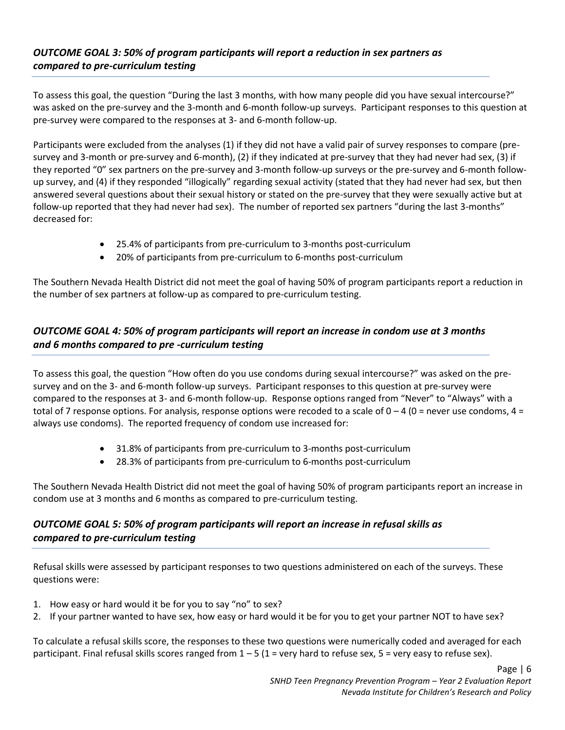# *OUTCOME GOAL 3: 50% of program participants will report a reduction in sex partners as compared to pre-curriculum testing*

To assess this goal, the question "During the last 3 months, with how many people did you have sexual intercourse?" was asked on the pre-survey and the 3-month and 6-month follow-up surveys. Participant responses to this question at pre-survey were compared to the responses at 3- and 6-month follow-up.

Participants were excluded from the analyses (1) if they did not have a valid pair of survey responses to compare (presurvey and 3-month or pre-survey and 6-month), (2) if they indicated at pre-survey that they had never had sex, (3) if they reported "0" sex partners on the pre-survey and 3-month follow-up surveys or the pre-survey and 6-month followup survey, and (4) if they responded "illogically" regarding sexual activity (stated that they had never had sex, but then answered several questions about their sexual history or stated on the pre-survey that they were sexually active but at follow-up reported that they had never had sex). The number of reported sex partners "during the last 3-months" decreased for:

- 25.4% of participants from pre-curriculum to 3-months post-curriculum
- 20% of participants from pre-curriculum to 6-months post-curriculum

The Southern Nevada Health District did not meet the goal of having 50% of program participants report a reduction in the number of sex partners at follow-up as compared to pre-curriculum testing.

# *OUTCOME GOAL 4: 50% of program participants will report an increase in condom use at 3 months and 6 months compared to pre -curriculum testing*

To assess this goal, the question "How often do you use condoms during sexual intercourse?" was asked on the presurvey and on the 3- and 6-month follow-up surveys. Participant responses to this question at pre-survey were compared to the responses at 3- and 6-month follow-up. Response options ranged from "Never" to "Always" with a total of 7 response options. For analysis, response options were recoded to a scale of  $0 - 4$  (0 = never use condoms, 4 = always use condoms). The reported frequency of condom use increased for:

- 31.8% of participants from pre-curriculum to 3-months post-curriculum
- 28.3% of participants from pre-curriculum to 6-months post-curriculum

The Southern Nevada Health District did not meet the goal of having 50% of program participants report an increase in condom use at 3 months and 6 months as compared to pre-curriculum testing.

# *OUTCOME GOAL 5: 50% of program participants will report an increase in refusal skills as compared to pre-curriculum testing*

Refusal skills were assessed by participant responses to two questions administered on each of the surveys. These questions were:

- 1. How easy or hard would it be for you to say "no" to sex?
- 2. If your partner wanted to have sex, how easy or hard would it be for you to get your partner NOT to have sex?

To calculate a refusal skills score, the responses to these two questions were numerically coded and averaged for each participant. Final refusal skills scores ranged from  $1 - 5$  (1 = very hard to refuse sex, 5 = very easy to refuse sex).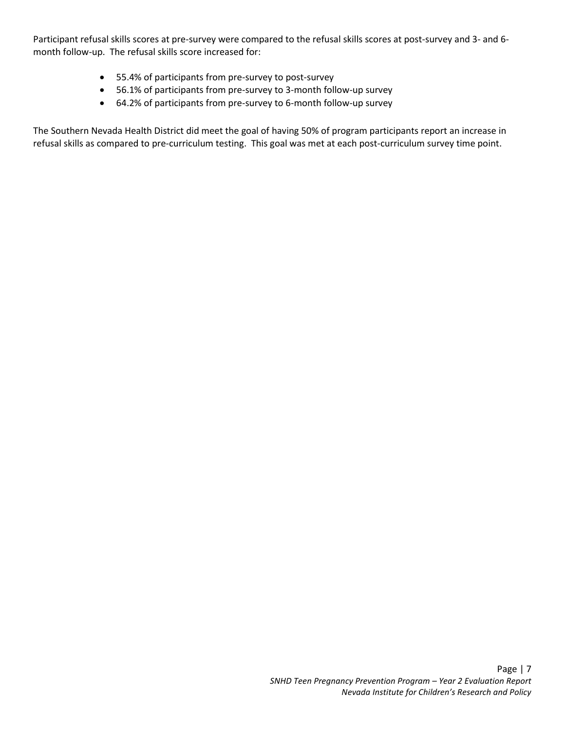Participant refusal skills scores at pre-survey were compared to the refusal skills scores at post-survey and 3- and 6 month follow-up. The refusal skills score increased for:

- 55.4% of participants from pre-survey to post-survey
- 56.1% of participants from pre-survey to 3-month follow-up survey
- 64.2% of participants from pre-survey to 6-month follow-up survey

The Southern Nevada Health District did meet the goal of having 50% of program participants report an increase in refusal skills as compared to pre-curriculum testing. This goal was met at each post-curriculum survey time point.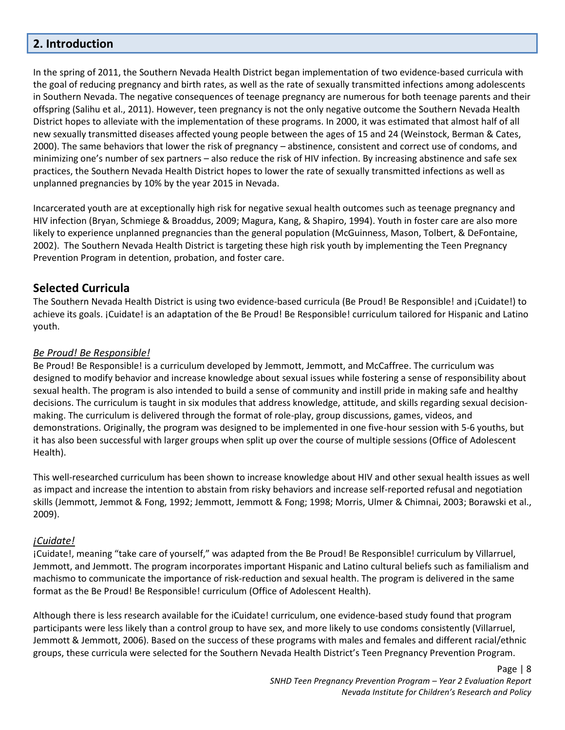# <span id="page-8-0"></span>**2. Introduction**

In the spring of 2011, the Southern Nevada Health District began implementation of two evidence-based curricula with the goal of reducing pregnancy and birth rates, as well as the rate of sexually transmitted infections among adolescents in Southern Nevada. The negative consequences of teenage pregnancy are numerous for both teenage parents and their offspring (Salihu et al., 2011). However, teen pregnancy is not the only negative outcome the Southern Nevada Health District hopes to alleviate with the implementation of these programs. In 2000, it was estimated that almost half of all new sexually transmitted diseases affected young people between the ages of 15 and 24 (Weinstock, Berman & Cates, 2000). The same behaviors that lower the risk of pregnancy – abstinence, consistent and correct use of condoms, and minimizing one's number of sex partners – also reduce the risk of HIV infection. By increasing abstinence and safe sex practices, the Southern Nevada Health District hopes to lower the rate of sexually transmitted infections as well as unplanned pregnancies by 10% by the year 2015 in Nevada.

Incarcerated youth are at exceptionally high risk for negative sexual health outcomes such as teenage pregnancy and HIV infection (Bryan, Schmiege & Broaddus, 2009; Magura, Kang, & Shapiro, 1994). Youth in foster care are also more likely to experience unplanned pregnancies than the general population (McGuinness, Mason, Tolbert, & DeFontaine, 2002). The Southern Nevada Health District is targeting these high risk youth by implementing the Teen Pregnancy Prevention Program in detention, probation, and foster care.

# <span id="page-8-1"></span>**Selected Curricula**

The Southern Nevada Health District is using two evidence-based curricula (Be Proud! Be Responsible! and ¡Cuidate!) to achieve its goals. ¡Cuidate! is an adaptation of the Be Proud! Be Responsible! curriculum tailored for Hispanic and Latino youth.

#### *Be Proud! Be Responsible!*

Be Proud! Be Responsible! is a curriculum developed by Jemmott, Jemmott, and McCaffree. The curriculum was designed to modify behavior and increase knowledge about sexual issues while fostering a sense of responsibility about sexual health. The program is also intended to build a sense of community and instill pride in making safe and healthy decisions. The curriculum is taught in six modules that address knowledge, attitude, and skills regarding sexual decisionmaking. The curriculum is delivered through the format of role-play, group discussions, games, videos, and demonstrations. Originally, the program was designed to be implemented in one five-hour session with 5-6 youths, but it has also been successful with larger groups when split up over the course of multiple sessions (Office of Adolescent Health).

This well-researched curriculum has been shown to increase knowledge about HIV and other sexual health issues as well as impact and increase the intention to abstain from risky behaviors and increase self-reported refusal and negotiation skills (Jemmott, Jemmot & Fong, 1992; Jemmott, Jemmott & Fong; 1998; Morris, Ulmer & Chimnai, 2003; Borawski et al., 2009).

#### *¡Cuidate!*

¡Cuidate!, meaning "take care of yourself," was adapted from the Be Proud! Be Responsible! curriculum by Villarruel, Jemmott, and Jemmott. The program incorporates important Hispanic and Latino cultural beliefs such as familialism and machismo to communicate the importance of risk-reduction and sexual health. The program is delivered in the same format as the Be Proud! Be Responsible! curriculum (Office of Adolescent Health).

Although there is less research available for the iCuidate! curriculum, one evidence-based study found that program participants were less likely than a control group to have sex, and more likely to use condoms consistently (Villarruel, Jemmott & Jemmott, 2006). Based on the success of these programs with males and females and different racial/ethnic groups, these curricula were selected for the Southern Nevada Health District's Teen Pregnancy Prevention Program.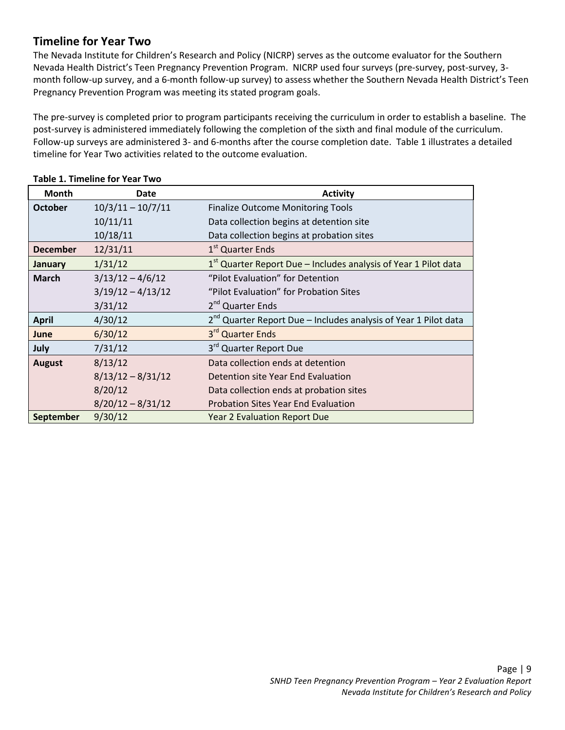# <span id="page-9-0"></span>**Timeline for Year Two**

The Nevada Institute for Children's Research and Policy (NICRP) serves as the outcome evaluator for the Southern Nevada Health District's Teen Pregnancy Prevention Program. NICRP used four surveys (pre-survey, post-survey, 3 month follow-up survey, and a 6-month follow-up survey) to assess whether the Southern Nevada Health District's Teen Pregnancy Prevention Program was meeting its stated program goals.

The pre-survey is completed prior to program participants receiving the curriculum in order to establish a baseline. The post-survey is administered immediately following the completion of the sixth and final module of the curriculum. Follow-up surveys are administered 3- and 6-months after the course completion date. Table 1 illustrates a detailed timeline for Year Two activities related to the outcome evaluation.

| <b>Month</b>    | Date                | <b>Activity</b>                                                      |
|-----------------|---------------------|----------------------------------------------------------------------|
| <b>October</b>  | $10/3/11 - 10/7/11$ | <b>Finalize Outcome Monitoring Tools</b>                             |
|                 | 10/11/11            | Data collection begins at detention site                             |
|                 | 10/18/11            | Data collection begins at probation sites                            |
| <b>December</b> | 12/31/11            | 1 <sup>st</sup> Quarter Ends                                         |
| January         | 1/31/12             | $1st$ Quarter Report Due – Includes analysis of Year 1 Pilot data    |
| <b>March</b>    | $3/13/12 - 4/6/12$  | "Pilot Evaluation" for Detention                                     |
|                 | $3/19/12 - 4/13/12$ | "Pilot Evaluation" for Probation Sites                               |
|                 | 3/31/12             | 2 <sup>nd</sup> Quarter Ends                                         |
| <b>April</b>    | 4/30/12             | $2^{nd}$ Quarter Report Due – Includes analysis of Year 1 Pilot data |
| <b>June</b>     | 6/30/12             | 3rd Quarter Ends                                                     |
| July            | 7/31/12             | 3 <sup>rd</sup> Quarter Report Due                                   |
| <b>August</b>   | 8/13/12             | Data collection ends at detention                                    |
|                 | $8/13/12 - 8/31/12$ | Detention site Year End Evaluation                                   |
|                 | 8/20/12             | Data collection ends at probation sites                              |
|                 | $8/20/12 - 8/31/12$ | <b>Probation Sites Year End Evaluation</b>                           |
| September       | 9/30/12             | <b>Year 2 Evaluation Report Due</b>                                  |

#### **Table 1. Timeline for Year Two**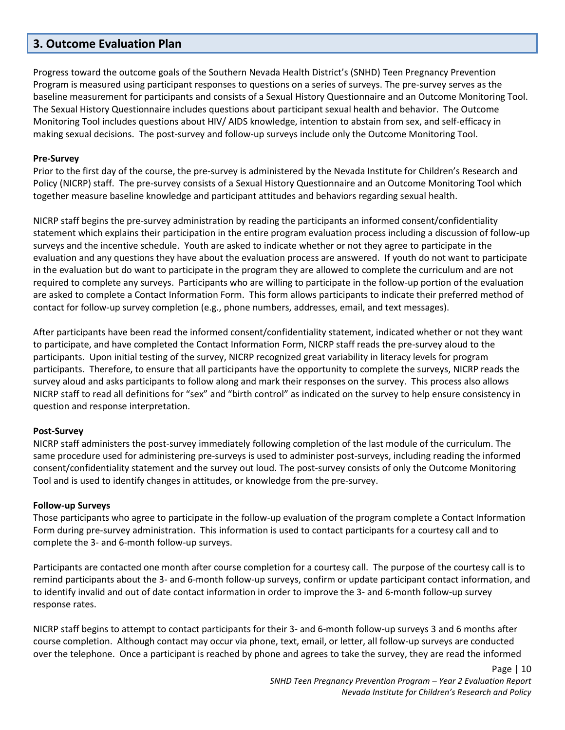### <span id="page-10-0"></span>**3. Outcome Evaluation Plan**

Progress toward the outcome goals of the Southern Nevada Health District's (SNHD) Teen Pregnancy Prevention Program is measured using participant responses to questions on a series of surveys. The pre-survey serves as the baseline measurement for participants and consists of a Sexual History Questionnaire and an Outcome Monitoring Tool. The Sexual History Questionnaire includes questions about participant sexual health and behavior. The Outcome Monitoring Tool includes questions about HIV/ AIDS knowledge, intention to abstain from sex, and self-efficacy in making sexual decisions. The post-survey and follow-up surveys include only the Outcome Monitoring Tool.

#### **Pre-Survey**

Prior to the first day of the course, the pre-survey is administered by the Nevada Institute for Children's Research and Policy (NICRP) staff. The pre-survey consists of a Sexual History Questionnaire and an Outcome Monitoring Tool which together measure baseline knowledge and participant attitudes and behaviors regarding sexual health.

NICRP staff begins the pre-survey administration by reading the participants an informed consent/confidentiality statement which explains their participation in the entire program evaluation process including a discussion of follow-up surveys and the incentive schedule. Youth are asked to indicate whether or not they agree to participate in the evaluation and any questions they have about the evaluation process are answered. If youth do not want to participate in the evaluation but do want to participate in the program they are allowed to complete the curriculum and are not required to complete any surveys. Participants who are willing to participate in the follow-up portion of the evaluation are asked to complete a Contact Information Form. This form allows participants to indicate their preferred method of contact for follow-up survey completion (e.g., phone numbers, addresses, email, and text messages).

After participants have been read the informed consent/confidentiality statement, indicated whether or not they want to participate, and have completed the Contact Information Form, NICRP staff reads the pre-survey aloud to the participants. Upon initial testing of the survey, NICRP recognized great variability in literacy levels for program participants. Therefore, to ensure that all participants have the opportunity to complete the surveys, NICRP reads the survey aloud and asks participants to follow along and mark their responses on the survey. This process also allows NICRP staff to read all definitions for "sex" and "birth control" as indicated on the survey to help ensure consistency in question and response interpretation.

#### **Post-Survey**

NICRP staff administers the post-survey immediately following completion of the last module of the curriculum. The same procedure used for administering pre-surveys is used to administer post-surveys, including reading the informed consent/confidentiality statement and the survey out loud. The post-survey consists of only the Outcome Monitoring Tool and is used to identify changes in attitudes, or knowledge from the pre-survey.

#### **Follow-up Surveys**

Those participants who agree to participate in the follow-up evaluation of the program complete a Contact Information Form during pre-survey administration. This information is used to contact participants for a courtesy call and to complete the 3- and 6-month follow-up surveys.

Participants are contacted one month after course completion for a courtesy call. The purpose of the courtesy call is to remind participants about the 3- and 6-month follow-up surveys, confirm or update participant contact information, and to identify invalid and out of date contact information in order to improve the 3- and 6-month follow-up survey response rates.

NICRP staff begins to attempt to contact participants for their 3- and 6-month follow-up surveys 3 and 6 months after course completion. Although contact may occur via phone, text, email, or letter, all follow-up surveys are conducted over the telephone. Once a participant is reached by phone and agrees to take the survey, they are read the informed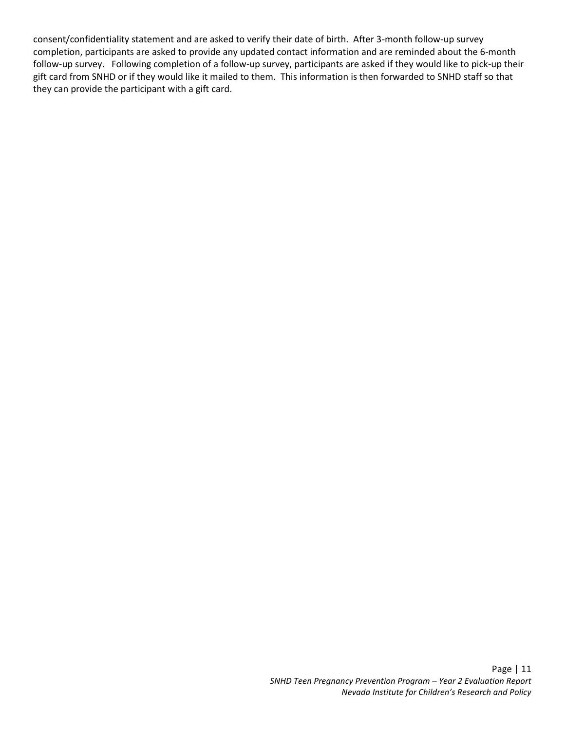consent/confidentiality statement and are asked to verify their date of birth. After 3-month follow-up survey completion, participants are asked to provide any updated contact information and are reminded about the 6-month follow-up survey. Following completion of a follow-up survey, participants are asked if they would like to pick-up their gift card from SNHD or if they would like it mailed to them. This information is then forwarded to SNHD staff so that they can provide the participant with a gift card.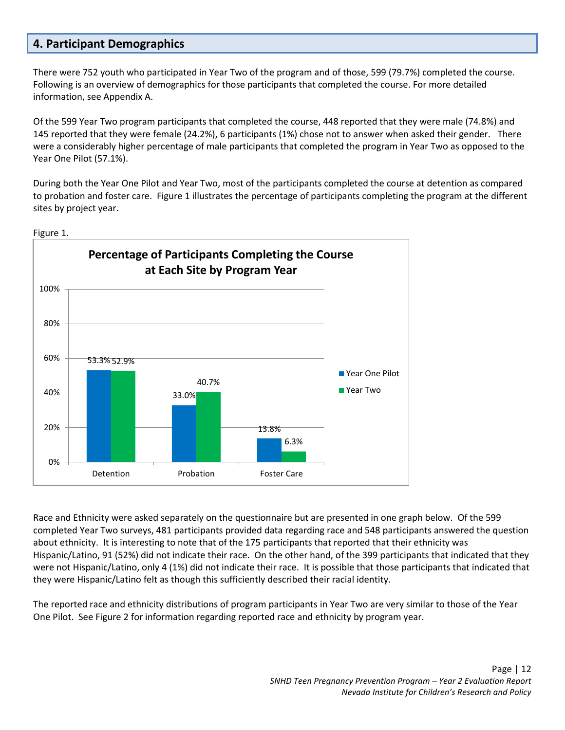# <span id="page-12-0"></span>**4. Participant Demographics**

There were 752 youth who participated in Year Two of the program and of those, 599 (79.7%) completed the course. Following is an overview of demographics for those participants that completed the course. For more detailed information, see Appendix A.

Of the 599 Year Two program participants that completed the course, 448 reported that they were male (74.8%) and 145 reported that they were female (24.2%), 6 participants (1%) chose not to answer when asked their gender. There were a considerably higher percentage of male participants that completed the program in Year Two as opposed to the Year One Pilot (57.1%).

During both the Year One Pilot and Year Two, most of the participants completed the course at detention as compared to probation and foster care. Figure 1 illustrates the percentage of participants completing the program at the different sites by project year.



Figure 1.

Race and Ethnicity were asked separately on the questionnaire but are presented in one graph below. Of the 599 completed Year Two surveys, 481 participants provided data regarding race and 548 participants answered the question about ethnicity. It is interesting to note that of the 175 participants that reported that their ethnicity was Hispanic/Latino, 91 (52%) did not indicate their race. On the other hand, of the 399 participants that indicated that they were not Hispanic/Latino, only 4 (1%) did not indicate their race. It is possible that those participants that indicated that they were Hispanic/Latino felt as though this sufficiently described their racial identity.

The reported race and ethnicity distributions of program participants in Year Two are very similar to those of the Year One Pilot. See Figure 2 for information regarding reported race and ethnicity by program year.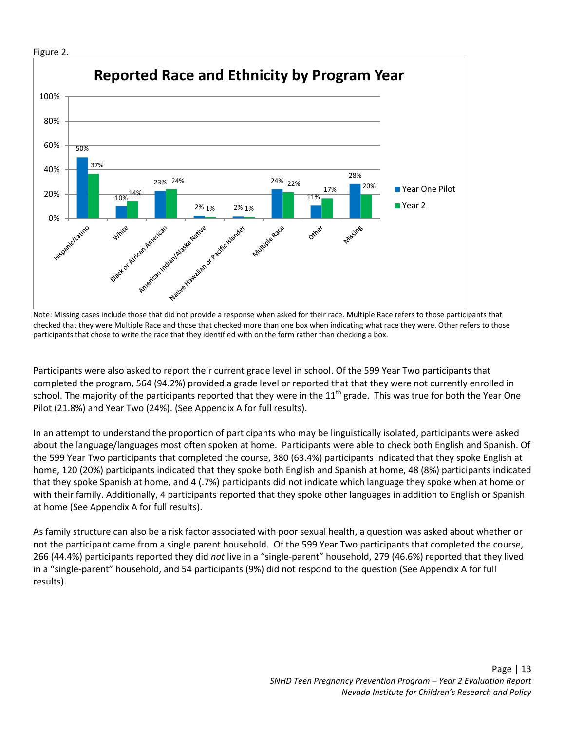

Note: Missing cases include those that did not provide a response when asked for their race. Multiple Race refers to those participants that checked that they were Multiple Race and those that checked more than one box when indicating what race they were. Other refers to those participants that chose to write the race that they identified with on the form rather than checking a box.

Participants were also asked to report their current grade level in school. Of the 599 Year Two participants that completed the program, 564 (94.2%) provided a grade level or reported that that they were not currently enrolled in school. The majority of the participants reported that they were in the  $11<sup>th</sup>$  grade. This was true for both the Year One Pilot (21.8%) and Year Two (24%). (See Appendix A for full results).

In an attempt to understand the proportion of participants who may be linguistically isolated, participants were asked about the language/languages most often spoken at home. Participants were able to check both English and Spanish. Of the 599 Year Two participants that completed the course, 380 (63.4%) participants indicated that they spoke English at home, 120 (20%) participants indicated that they spoke both English and Spanish at home, 48 (8%) participants indicated that they spoke Spanish at home, and 4 (.7%) participants did not indicate which language they spoke when at home or with their family. Additionally, 4 participants reported that they spoke other languages in addition to English or Spanish at home (See Appendix A for full results).

As family structure can also be a risk factor associated with poor sexual health, a question was asked about whether or not the participant came from a single parent household. Of the 599 Year Two participants that completed the course, 266 (44.4%) participants reported they did *not* live in a "single-parent" household, 279 (46.6%) reported that they lived in a "single-parent" household, and 54 participants (9%) did not respond to the question (See Appendix A for full results).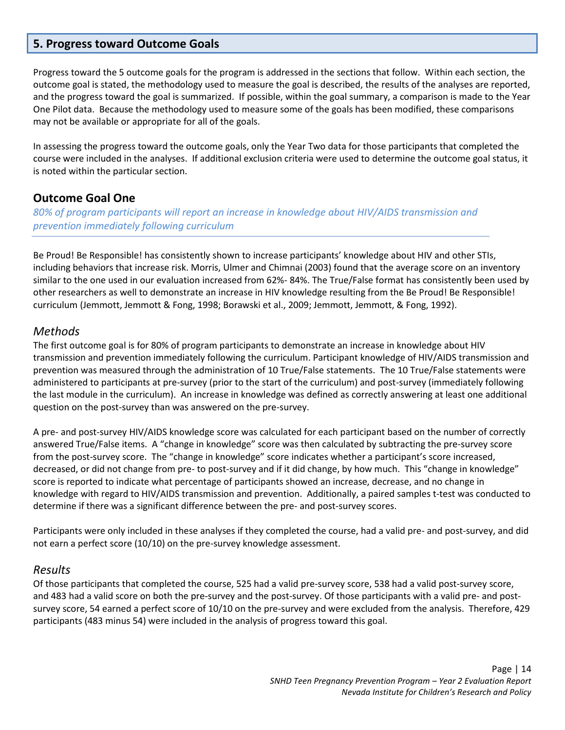## <span id="page-14-0"></span>**5. Progress toward Outcome Goals**

Progress toward the 5 outcome goals for the program is addressed in the sections that follow. Within each section, the outcome goal is stated, the methodology used to measure the goal is described, the results of the analyses are reported, and the progress toward the goal is summarized. If possible, within the goal summary, a comparison is made to the Year One Pilot data. Because the methodology used to measure some of the goals has been modified, these comparisons may not be available or appropriate for all of the goals.

In assessing the progress toward the outcome goals, only the Year Two data for those participants that completed the course were included in the analyses. If additional exclusion criteria were used to determine the outcome goal status, it is noted within the particular section.

#### <span id="page-14-1"></span>**Outcome Goal One**

*80% of program participants will report an increase in knowledge about HIV/AIDS transmission and prevention immediately following curriculum*

Be Proud! Be Responsible! has consistently shown to increase participants' knowledge about HIV and other STIs, including behaviors that increase risk. Morris, Ulmer and Chimnai (2003) found that the average score on an inventory similar to the one used in our evaluation increased from 62%- 84%. The True/False format has consistently been used by other researchers as well to demonstrate an increase in HIV knowledge resulting from the Be Proud! Be Responsible! curriculum (Jemmott, Jemmott & Fong, 1998; Borawski et al., 2009; Jemmott, Jemmott, & Fong, 1992).

#### <span id="page-14-2"></span>*Methods*

The first outcome goal is for 80% of program participants to demonstrate an increase in knowledge about HIV transmission and prevention immediately following the curriculum. Participant knowledge of HIV/AIDS transmission and prevention was measured through the administration of 10 True/False statements. The 10 True/False statements were administered to participants at pre-survey (prior to the start of the curriculum) and post-survey (immediately following the last module in the curriculum). An increase in knowledge was defined as correctly answering at least one additional question on the post-survey than was answered on the pre-survey.

A pre- and post-survey HIV/AIDS knowledge score was calculated for each participant based on the number of correctly answered True/False items. A "change in knowledge" score was then calculated by subtracting the pre-survey score from the post-survey score. The "change in knowledge" score indicates whether a participant's score increased, decreased, or did not change from pre- to post-survey and if it did change, by how much. This "change in knowledge" score is reported to indicate what percentage of participants showed an increase, decrease, and no change in knowledge with regard to HIV/AIDS transmission and prevention. Additionally, a paired samples t-test was conducted to determine if there was a significant difference between the pre- and post-survey scores.

Participants were only included in these analyses if they completed the course, had a valid pre- and post-survey, and did not earn a perfect score (10/10) on the pre-survey knowledge assessment.

#### <span id="page-14-3"></span>*Results*

Of those participants that completed the course, 525 had a valid pre-survey score, 538 had a valid post-survey score, and 483 had a valid score on both the pre-survey and the post-survey. Of those participants with a valid pre- and postsurvey score, 54 earned a perfect score of 10/10 on the pre-survey and were excluded from the analysis. Therefore, 429 participants (483 minus 54) were included in the analysis of progress toward this goal.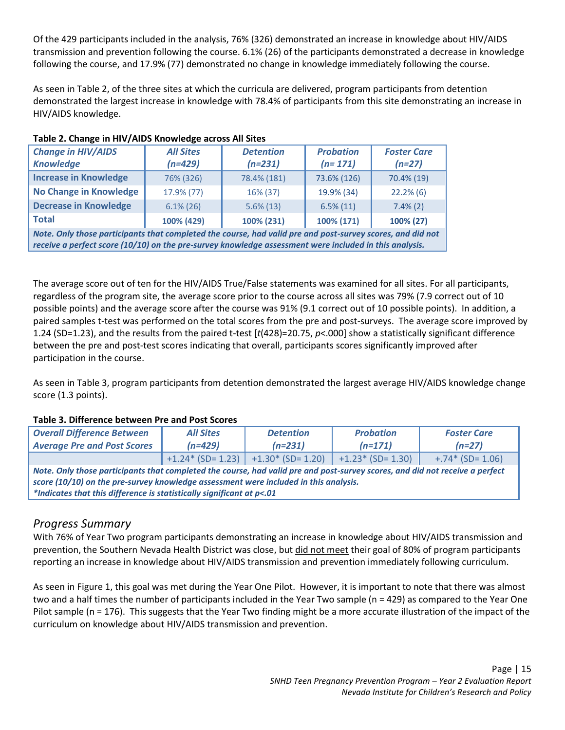Of the 429 participants included in the analysis, 76% (326) demonstrated an increase in knowledge about HIV/AIDS transmission and prevention following the course. 6.1% (26) of the participants demonstrated a decrease in knowledge following the course, and 17.9% (77) demonstrated no change in knowledge immediately following the course.

As seen in Table 2, of the three sites at which the curricula are delivered, program participants from detention demonstrated the largest increase in knowledge with 78.4% of participants from this site demonstrating an increase in HIV/AIDS knowledge.

| <b>Change in HIV/AIDS</b><br><b>Knowledge</b>                                                                                                                                                                        | <b>All Sites</b><br>$(n=429)$ | <b>Detention</b><br>$(n=231)$ | <b>Probation</b><br>$(n=171)$ | <b>Foster Care</b><br>$(n=27)$ |  |  |
|----------------------------------------------------------------------------------------------------------------------------------------------------------------------------------------------------------------------|-------------------------------|-------------------------------|-------------------------------|--------------------------------|--|--|
| <b>Increase in Knowledge</b>                                                                                                                                                                                         | 76% (326)                     | 78.4% (181)                   | 73.6% (126)                   | 70.4% (19)                     |  |  |
| <b>No Change in Knowledge</b>                                                                                                                                                                                        | 17.9% (77)                    | 16% (37)                      | 19.9% (34)                    | $22.2\%$ (6)                   |  |  |
| <b>Decrease in Knowledge</b>                                                                                                                                                                                         | $6.1\%$ (26)                  | $5.6\%$ (13)                  | $6.5\%(11)$                   | $7.4\%(2)$                     |  |  |
| <b>Total</b>                                                                                                                                                                                                         | 100% (429)                    | 100% (231)                    | 100% (171)                    | 100% (27)                      |  |  |
| Note. Only those participants that completed the course, had valid pre and post-survey scores, and did not<br>receive a perfect score (10/10) on the pre-survey knowledge assessment were included in this analysis. |                               |                               |                               |                                |  |  |

#### **Table 2. Change in HIV/AIDS Knowledge across All Sites**

The average score out of ten for the HIV/AIDS True/False statements was examined for all sites. For all participants, regardless of the program site, the average score prior to the course across all sites was 79% (7.9 correct out of 10 possible points) and the average score after the course was 91% (9.1 correct out of 10 possible points). In addition, a paired samples t-test was performed on the total scores from the pre and post-surveys. The average score improved by 1.24 (SD=1.23), and the results from the paired t-test [*t*(428)=20.75, *p*<.000] show a statistically significant difference between the pre and post-test scores indicating that overall, participants scores significantly improved after participation in the course.

As seen in Table 3, program participants from detention demonstrated the largest average HIV/AIDS knowledge change score (1.3 points).

#### **Table 3. Difference between Pre and Post Scores**

| <b>Overall Difference Between</b><br><b>Average Pre and Post Scores</b>                                                                                                                                                                                                                       | <b>All Sites</b><br><b>Detention</b><br>$(n=429)$<br>$(n=231)$ |                                                              | <b>Probation</b><br>$(n=171)$ | <b>Foster Care</b><br>$(n=27)$ |  |  |  |
|-----------------------------------------------------------------------------------------------------------------------------------------------------------------------------------------------------------------------------------------------------------------------------------------------|----------------------------------------------------------------|--------------------------------------------------------------|-------------------------------|--------------------------------|--|--|--|
|                                                                                                                                                                                                                                                                                               |                                                                | $+1.24$ (SD= 1.23)   +1.30 * (SD= 1.20)   +1.23 * (SD= 1.30) |                               | $+.74*(SD=1.06)$               |  |  |  |
| Note. Only those participants that completed the course, had valid pre and post-survey scores, and did not receive a perfect<br>score (10/10) on the pre-survey knowledge assessment were included in this analysis.<br>*Indicates that this difference is statistically significant at p<.01 |                                                                |                                                              |                               |                                |  |  |  |

# <span id="page-15-0"></span>*Progress Summary*

With 76% of Year Two program participants demonstrating an increase in knowledge about HIV/AIDS transmission and prevention, the Southern Nevada Health District was close, but did not meet their goal of 80% of program participants reporting an increase in knowledge about HIV/AIDS transmission and prevention immediately following curriculum.

As seen in Figure 1, this goal was met during the Year One Pilot. However, it is important to note that there was almost two and a half times the number of participants included in the Year Two sample (n = 429) as compared to the Year One Pilot sample (n = 176). This suggests that the Year Two finding might be a more accurate illustration of the impact of the curriculum on knowledge about HIV/AIDS transmission and prevention.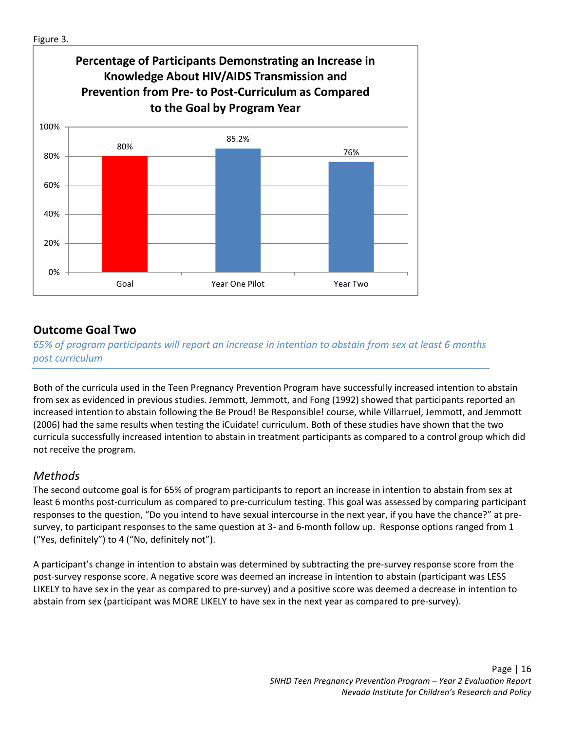

# <span id="page-16-0"></span>**Outcome Goal Two**

*65% of program participants will report an increase in intention to abstain from sex at least 6 months post curriculum*

Both of the curricula used in the Teen Pregnancy Prevention Program have successfully increased intention to abstain from sex as evidenced in previous studies. Jemmott, Jemmott, and Fong (1992) showed that participants reported an increased intention to abstain following the Be Proud! Be Responsible! course, while Villarruel, Jemmott, and Jemmott (2006) had the same results when testing the iCuidate! curriculum. Both of these studies have shown that the two curricula successfully increased intention to abstain in treatment participants as compared to a control group which did not receive the program.

# <span id="page-16-1"></span>*Methods*

The second outcome goal is for 65% of program participants to report an increase in intention to abstain from sex at least 6 months post-curriculum as compared to pre-curriculum testing. This goal was assessed by comparing participant responses to the question, "Do you intend to have sexual intercourse in the next year, if you have the chance?" at presurvey, to participant responses to the same question at 3- and 6-month follow up. Response options ranged from 1 ("Yes, definitely") to 4 ("No, definitely not").

A participant's change in intention to abstain was determined by subtracting the pre-survey response score from the post-survey response score. A negative score was deemed an increase in intention to abstain (participant was LESS LIKELY to have sex in the year as compared to pre-survey) and a positive score was deemed a decrease in intention to abstain from sex (participant was MORE LIKELY to have sex in the next year as compared to pre-survey).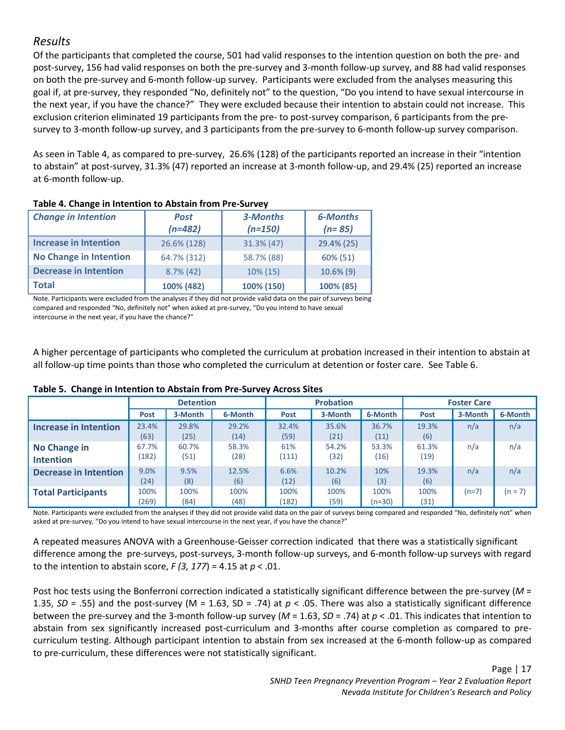# <span id="page-17-0"></span>*Results*

Of the participants that completed the course, 501 had valid responses to the intention question on both the pre- and post-survey, 156 had valid responses on both the pre-survey and 3-month follow-up survey, and 88 had valid responses on both the pre-survey and 6-month follow-up survey. Participants were excluded from the analyses measuring this goal if, at pre-survey, they responded "No, definitely not" to the question, "Do you intend to have sexual intercourse in the next year, if you have the chance?" They were excluded because their intention to abstain could not increase. This exclusion criterion eliminated 19 participants from the pre- to post-survey comparison, 6 participants from the presurvey to 3-month follow-up survey, and 3 participants from the pre-survey to 6-month follow-up survey comparison.

As seen in Table 4, as compared to pre-survey, 26.6% (128) of the participants reported an increase in their "intention to abstain" at post-survey, 31.3% (47) reported an increase at 3-month follow-up, and 29.4% (25) reported an increase at 6-month follow-up.

| <b>Change in Intention</b>    | <b>Post</b><br>$(n=482)$ | 3-Months<br>$(n=150)$ | <b>6-Months</b><br>$(n=85)$ |
|-------------------------------|--------------------------|-----------------------|-----------------------------|
| <b>Increase in Intention</b>  | 26.6% (128)              | 31.3% (47)            | 29.4% (25)                  |
| <b>No Change in Intention</b> | 64.7% (312)              | 58.7% (88)            | 60% (51)                    |
| <b>Decrease in Intention</b>  | $8.7\%$ (42)             | 10% (15)              | $10.6\%$ (9)                |
| <b>Total</b>                  | 100% (482)               | 100% (150)            | 100% (85)                   |

#### **Table 4. Change in Intention to Abstain from Pre-Survey**

Note. Participants were excluded from the analyses if they did not provide valid data on the pair of surveys being compared and responded "No, definitely not" when asked at pre-survey, "Do you intend to have sexual intercourse in the next year, if you have the chance?"

A higher percentage of participants who completed the curriculum at probation increased in their intention to abstain at all follow-up time points than those who completed the curriculum at detention or foster care. See Table 6.

|                              | <b>Detention</b> |         |         | <b>Probation</b> |         |         | <b>Foster Care</b> |         |           |
|------------------------------|------------------|---------|---------|------------------|---------|---------|--------------------|---------|-----------|
|                              | <b>Post</b>      | 3-Month | 6-Month | Post             | 3-Month | 6-Month | Post               | 3-Month | 6-Month   |
| <b>Increase in Intention</b> | 23.4%            | 29.8%   | 29.2%   | 32.4%            | 35.6%   | 36.7%   | 19.3%              | n/a     | n/a       |
|                              | (63)             | (25)    | (14)    | (59)             | (21)    | (11)    | (6)                |         |           |
| <b>No Change in</b>          | 67.7%            | 60.7%   | 58.3%   | 61%              | 54.2%   | 53.3%   | 61.3%              | n/a     | n/a       |
| <b>Intention</b>             | 182)             | (51)    | (28)    | (111)            | (32)    | (16)    | (19)               |         |           |
| Decrease in Intention        | 9.0%             | 9.5%    | 12.5%   | 6.6%             | 10.2%   | 10%     | 19.3%              | n/a     | n/a       |
|                              | (24)             | (8)     | (6)     | (12)             | (6)     | (3)     | (6)                |         |           |
| <b>Total Participants</b>    | 100%             | 100%    | 100%    | 100%             | 100%    | 100%    | 100%               | $(n=7)$ | $(n = 7)$ |
|                              | (269)            | (84)    | (48)    | (182)            | (59)    | (n=30)  | (31)               |         |           |

#### **Table 5. Change in Intention to Abstain from Pre-Survey Across Sites**

Note. Participants were excluded from the analyses if they did not provide valid data on the pair of surveys being compared and responded "No, definitely not" when asked at pre-survey, "Do you intend to have sexual intercourse in the next year, if you have the chance?"

A repeated measures ANOVA with a Greenhouse-Geisser correction indicated that there was a statistically significant difference among the pre-surveys, post-surveys, 3-month follow-up surveys, and 6-month follow-up surveys with regard to the intention to abstain score, *F (3, 177*) = 4.15 at *p* < .01.

Post hoc tests using the Bonferroni correction indicated a statistically significant difference between the pre-survey (*M* = 1.35, *SD* = .55) and the post-survey (M = 1.63, SD = .74) at *p* < .05. There was also a statistically significant difference between the pre-survey and the 3-month follow-up survey (*M* = 1.63, *SD* = .74) at *p* < .01. This indicates that intention to abstain from sex significantly increased post-curriculum and 3-months after course completion as compared to precurriculum testing. Although participant intention to abstain from sex increased at the 6-month follow-up as compared to pre-curriculum, these differences were not statistically significant.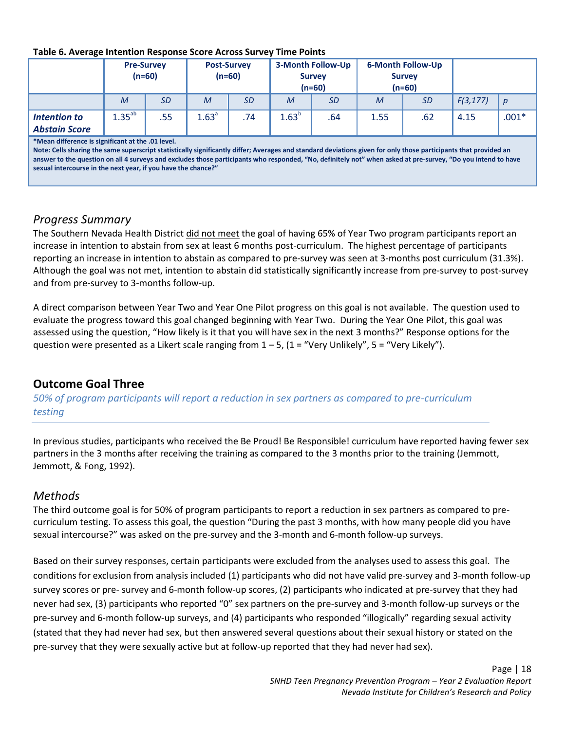#### **Table 6. Average Intention Response Score Across Survey Time Points**

|                                      |             | <b>Pre-Survey</b><br>$(n=60)$ | <b>Post-Survey</b><br>$(n=60)$ |     | <b>3-Month Follow-Up</b><br><b>Survey</b><br>$(n=60)$ |     | <b>6-Month Follow-Up</b><br><b>Survey</b><br>$(n=60)$ |           |          |                  |
|--------------------------------------|-------------|-------------------------------|--------------------------------|-----|-------------------------------------------------------|-----|-------------------------------------------------------|-----------|----------|------------------|
|                                      | M           | <i>SD</i>                     | M                              | SD  | M                                                     | SD  | M                                                     | <b>SD</b> | F(3,177) | $\boldsymbol{p}$ |
| Intention to<br><b>Abstain Score</b> | $1.35^{ab}$ | .55                           | 1.63 <sup>a</sup>              | .74 | 1.63 <sup>b</sup>                                     | .64 | 1.55                                                  | .62       | 4.15     | $.001*$          |

**\*Mean difference is significant at the .01 level.**

**Note: Cells sharing the same superscript statistically significantly differ; Averages and standard deviations given for only those participants that provided an answer to the question on all 4 surveys and excludes those participants who responded, "No, definitely not" when asked at pre-survey, "Do you intend to have sexual intercourse in the next year, if you have the chance?"**

### <span id="page-18-0"></span>*Progress Summary*

The Southern Nevada Health District did not meet the goal of having 65% of Year Two program participants report an increase in intention to abstain from sex at least 6 months post-curriculum. The highest percentage of participants reporting an increase in intention to abstain as compared to pre-survey was seen at 3-months post curriculum (31.3%). Although the goal was not met, intention to abstain did statistically significantly increase from pre-survey to post-survey and from pre-survey to 3-months follow-up.

A direct comparison between Year Two and Year One Pilot progress on this goal is not available. The question used to evaluate the progress toward this goal changed beginning with Year Two. During the Year One Pilot, this goal was assessed using the question, "How likely is it that you will have sex in the next 3 months?" Response options for the question were presented as a Likert scale ranging from  $1 - 5$ ,  $(1 =$  "Very Unlikely",  $5 =$  "Very Likely").

# <span id="page-18-1"></span>**Outcome Goal Three**

*50% of program participants will report a reduction in sex partners as compared to pre-curriculum testing*

In previous studies, participants who received the Be Proud! Be Responsible! curriculum have reported having fewer sex partners in the 3 months after receiving the training as compared to the 3 months prior to the training (Jemmott, Jemmott, & Fong, 1992).

# <span id="page-18-2"></span>*Methods*

The third outcome goal is for 50% of program participants to report a reduction in sex partners as compared to precurriculum testing. To assess this goal, the question "During the past 3 months, with how many people did you have sexual intercourse?" was asked on the pre-survey and the 3-month and 6-month follow-up surveys.

Based on their survey responses, certain participants were excluded from the analyses used to assess this goal. The conditions for exclusion from analysis included (1) participants who did not have valid pre-survey and 3-month follow-up survey scores or pre- survey and 6-month follow-up scores, (2) participants who indicated at pre-survey that they had never had sex, (3) participants who reported "0" sex partners on the pre-survey and 3-month follow-up surveys or the pre-survey and 6-month follow-up surveys, and (4) participants who responded "illogically" regarding sexual activity (stated that they had never had sex, but then answered several questions about their sexual history or stated on the pre-survey that they were sexually active but at follow-up reported that they had never had sex).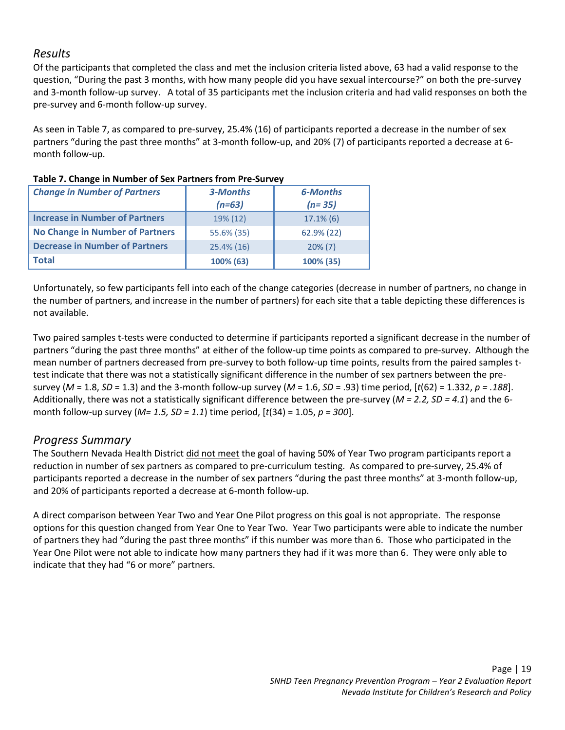# <span id="page-19-0"></span>*Results*

Of the participants that completed the class and met the inclusion criteria listed above, 63 had a valid response to the question, "During the past 3 months, with how many people did you have sexual intercourse?" on both the pre-survey and 3-month follow-up survey. A total of 35 participants met the inclusion criteria and had valid responses on both the pre-survey and 6-month follow-up survey.

As seen in Table 7, as compared to pre-survey, 25.4% (16) of participants reported a decrease in the number of sex partners "during the past three months" at 3-month follow-up, and 20% (7) of participants reported a decrease at 6 month follow-up.

| <b>Change in Number of Partners</b>    | 3-Months<br>$(n=63)$ | <b>6-Months</b><br>$(n=35)$ |
|----------------------------------------|----------------------|-----------------------------|
| <b>Increase in Number of Partners</b>  | 19% (12)             | $17.1\%$ (6)                |
| <b>No Change in Number of Partners</b> | 55.6% (35)           | 62.9% (22)                  |
| <b>Decrease in Number of Partners</b>  | 25.4% (16)           | $20\%$ (7)                  |
| <b>Total</b>                           | 100% (63)            | 100% (35)                   |

#### **Table 7. Change in Number of Sex Partners from Pre-Survey**

Unfortunately, so few participants fell into each of the change categories (decrease in number of partners, no change in the number of partners, and increase in the number of partners) for each site that a table depicting these differences is not available.

Two paired samples t-tests were conducted to determine if participants reported a significant decrease in the number of partners "during the past three months" at either of the follow-up time points as compared to pre-survey. Although the mean number of partners decreased from pre-survey to both follow-up time points, results from the paired samples ttest indicate that there was not a statistically significant difference in the number of sex partners between the presurvey (*M* = 1.8, *SD* = 1.3) and the 3-month follow-up survey (*M* = 1.6, *SD* = .93) time period, [*t*(62) = 1.332, *p = .188*]. Additionally, there was not a statistically significant difference between the pre-survey (*M = 2.2, SD = 4.1*) and the 6 month follow-up survey (*M= 1.5, SD = 1.1*) time period, [*t*(34) = 1.05, *p = 300*].

# <span id="page-19-1"></span>*Progress Summary*

The Southern Nevada Health District did not meet the goal of having 50% of Year Two program participants report a reduction in number of sex partners as compared to pre-curriculum testing. As compared to pre-survey, 25.4% of participants reported a decrease in the number of sex partners "during the past three months" at 3-month follow-up, and 20% of participants reported a decrease at 6-month follow-up.

A direct comparison between Year Two and Year One Pilot progress on this goal is not appropriate. The response options for this question changed from Year One to Year Two. Year Two participants were able to indicate the number of partners they had "during the past three months" if this number was more than 6. Those who participated in the Year One Pilot were not able to indicate how many partners they had if it was more than 6. They were only able to indicate that they had "6 or more" partners.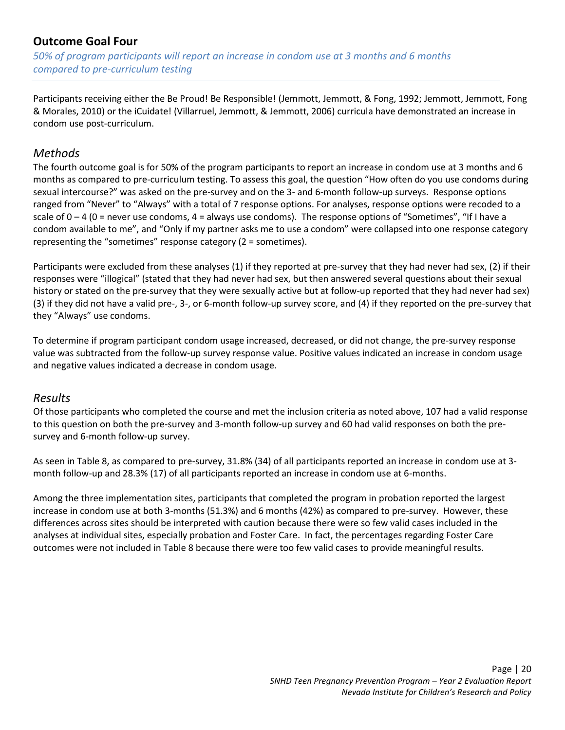# <span id="page-20-0"></span>**Outcome Goal Four**

*50% of program participants will report an increase in condom use at 3 months and 6 months compared to pre-curriculum testing*

Participants receiving either the Be Proud! Be Responsible! (Jemmott, Jemmott, & Fong, 1992; Jemmott, Jemmott, Fong & Morales, 2010) or the iCuidate! (Villarruel, Jemmott, & Jemmott, 2006) curricula have demonstrated an increase in condom use post-curriculum.

# <span id="page-20-1"></span>*Methods*

The fourth outcome goal is for 50% of the program participants to report an increase in condom use at 3 months and 6 months as compared to pre-curriculum testing. To assess this goal, the question "How often do you use condoms during sexual intercourse?" was asked on the pre-survey and on the 3- and 6-month follow-up surveys. Response options ranged from "Never" to "Always" with a total of 7 response options. For analyses, response options were recoded to a scale of  $0 - 4$  (0 = never use condoms,  $4 =$  always use condoms). The response options of "Sometimes", "If I have a condom available to me", and "Only if my partner asks me to use a condom" were collapsed into one response category representing the "sometimes" response category (2 = sometimes).

Participants were excluded from these analyses (1) if they reported at pre-survey that they had never had sex, (2) if their responses were "illogical" (stated that they had never had sex, but then answered several questions about their sexual history or stated on the pre-survey that they were sexually active but at follow-up reported that they had never had sex) (3) if they did not have a valid pre-, 3-, or 6-month follow-up survey score, and (4) if they reported on the pre-survey that they "Always" use condoms.

To determine if program participant condom usage increased, decreased, or did not change, the pre-survey response value was subtracted from the follow-up survey response value. Positive values indicated an increase in condom usage and negative values indicated a decrease in condom usage.

### <span id="page-20-2"></span>*Results*

Of those participants who completed the course and met the inclusion criteria as noted above, 107 had a valid response to this question on both the pre-survey and 3-month follow-up survey and 60 had valid responses on both the presurvey and 6-month follow-up survey.

As seen in Table 8, as compared to pre-survey, 31.8% (34) of all participants reported an increase in condom use at 3 month follow-up and 28.3% (17) of all participants reported an increase in condom use at 6-months.

Among the three implementation sites, participants that completed the program in probation reported the largest increase in condom use at both 3-months (51.3%) and 6 months (42%) as compared to pre-survey. However, these differences across sites should be interpreted with caution because there were so few valid cases included in the analyses at individual sites, especially probation and Foster Care. In fact, the percentages regarding Foster Care outcomes were not included in Table 8 because there were too few valid cases to provide meaningful results.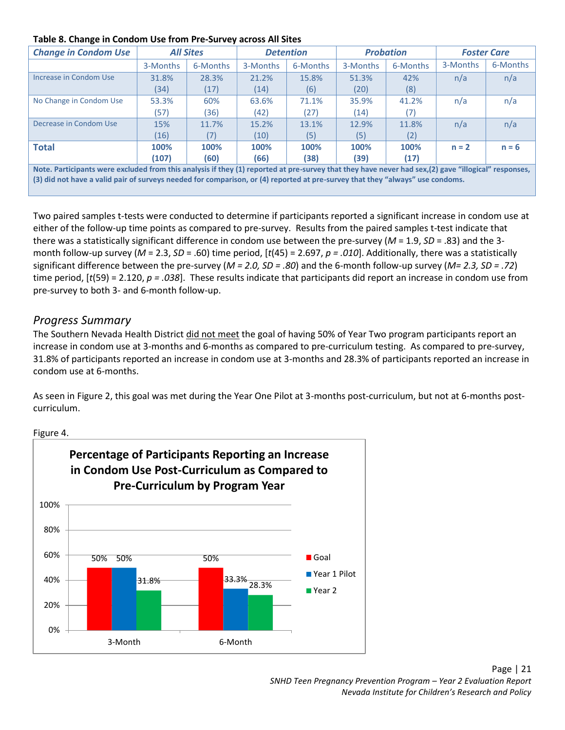#### **Table 8. Change in Condom Use from Pre-Survey across All Sites**

| <b>Change in Condom Use</b> | <b>All Sites</b>                                                                                                                                                                                                                                                                                             |          | <b>Detention</b> |          | <b>Probation</b> |          | <b>Foster Care</b> |          |  |
|-----------------------------|--------------------------------------------------------------------------------------------------------------------------------------------------------------------------------------------------------------------------------------------------------------------------------------------------------------|----------|------------------|----------|------------------|----------|--------------------|----------|--|
|                             | 3-Months                                                                                                                                                                                                                                                                                                     | 6-Months | 3-Months         | 6-Months | 3-Months         | 6-Months | 3-Months           | 6-Months |  |
| Increase in Condom Use      | 31.8%                                                                                                                                                                                                                                                                                                        | 28.3%    | 21.2%            | 15.8%    | 51.3%            | 42%      | n/a                | n/a      |  |
|                             | (34)                                                                                                                                                                                                                                                                                                         | (17)     | (14)             | (6)      | (20)             | (8)      |                    |          |  |
| No Change in Condom Use     | 53.3%                                                                                                                                                                                                                                                                                                        | 60%      | 63.6%            | 71.1%    | 35.9%            | 41.2%    | n/a                | n/a      |  |
|                             | (57)                                                                                                                                                                                                                                                                                                         | (36)     | (42)             | (27)     | (14)             | (7)      |                    |          |  |
| Decrease in Condom Use      | 15%                                                                                                                                                                                                                                                                                                          | 11.7%    | 15.2%            | 13.1%    | 12.9%            | 11.8%    | n/a                | n/a      |  |
|                             | (16)                                                                                                                                                                                                                                                                                                         |          | (10)             | (5)      | (5)              | (2)      |                    |          |  |
| <b>Total</b>                | 100%                                                                                                                                                                                                                                                                                                         | 100%     | 100%             | 100%     | 100%             | 100%     | $n = 2$            | $n = 6$  |  |
|                             | (107)                                                                                                                                                                                                                                                                                                        | (60)     | (66)             | (38)     | (39)             | (17)     |                    |          |  |
|                             | $\blacksquare$ and $\blacksquare$ . The contract of the set of the set of the set of all $\blacksquare$ (a) and contract on the set of the set of the set of the set of $\blacksquare$ and $\blacksquare$ and $\blacksquare$ and $\blacksquare$ and $\blacksquare$ and $\blacksquare$ and $\blacksquare$ and |          |                  |          |                  |          |                    |          |  |

**Note. Participants were excluded from this analysis if they (1) reported at pre-survey that they have never had sex,(2) gave "illogical" responses, (3) did not have a valid pair of surveys needed for comparison, or (4) reported at pre-survey that they "always" use condoms.**

Two paired samples t-tests were conducted to determine if participants reported a significant increase in condom use at either of the follow-up time points as compared to pre-survey. Results from the paired samples t-test indicate that there was a statistically significant difference in condom use between the pre-survey (*M* = 1.9, *SD* = .83) and the 3 month follow-up survey (*M* = 2.3, *SD* = .60) time period, [*t*(45) = 2.697, *p = .010*]. Additionally, there was a statistically significant difference between the pre-survey (*M = 2.0, SD = .80*) and the 6-month follow-up survey (*M= 2.3, SD = .72*) time period, [*t*(59) = 2.120, *p = .038*]. These results indicate that participants did report an increase in condom use from pre-survey to both 3- and 6-month follow-up.

### <span id="page-21-0"></span>*Progress Summary*

The Southern Nevada Health District did not meet the goal of having 50% of Year Two program participants report an increase in condom use at 3-months and 6-months as compared to pre-curriculum testing. As compared to pre-survey, 31.8% of participants reported an increase in condom use at 3-months and 28.3% of participants reported an increase in condom use at 6-months.

As seen in Figure 2, this goal was met during the Year One Pilot at 3-months post-curriculum, but not at 6-months postcurriculum.



#### Figure 4.

#### Page | 21 *SNHD Teen Pregnancy Prevention Program – Year 2 Evaluation Report Nevada Institute for Children's Research and Policy*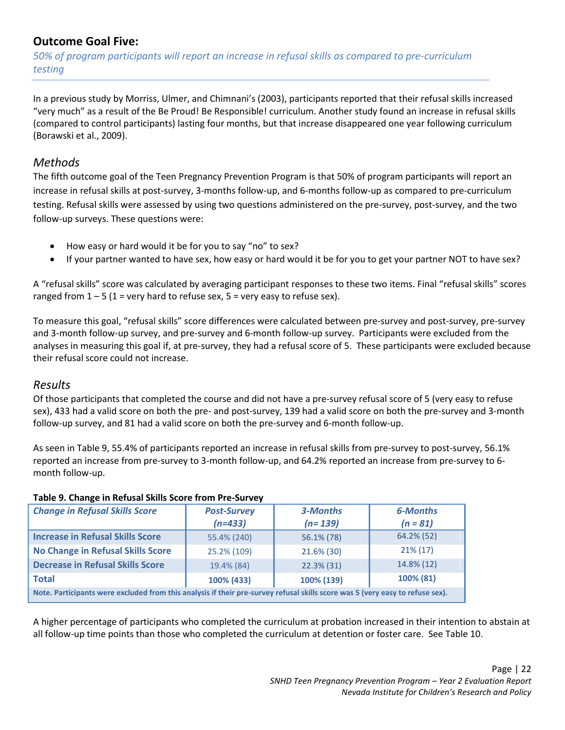# <span id="page-22-0"></span>**Outcome Goal Five:**

*50% of program participants will report an increase in refusal skills as compared to pre-curriculum testing*

In a previous study by Morriss, Ulmer, and Chimnani's (2003), participants reported that their refusal skills increased "very much" as a result of the Be Proud! Be Responsible! curriculum. Another study found an increase in refusal skills (compared to control participants) lasting four months, but that increase disappeared one year following curriculum (Borawski et al., 2009).

# <span id="page-22-1"></span>*Methods*

The fifth outcome goal of the Teen Pregnancy Prevention Program is that 50% of program participants will report an increase in refusal skills at post-survey, 3-months follow-up, and 6-months follow-up as compared to pre-curriculum testing. Refusal skills were assessed by using two questions administered on the pre-survey, post-survey, and the two follow-up surveys. These questions were:

- How easy or hard would it be for you to say "no" to sex?
- If your partner wanted to have sex, how easy or hard would it be for you to get your partner NOT to have sex?

A "refusal skills" score was calculated by averaging participant responses to these two items. Final "refusal skills" scores ranged from  $1 - 5$  (1 = very hard to refuse sex, 5 = very easy to refuse sex).

To measure this goal, "refusal skills" score differences were calculated between pre-survey and post-survey, pre-survey and 3-month follow-up survey, and pre-survey and 6-month follow-up survey. Participants were excluded from the analyses in measuring this goal if, at pre-survey, they had a refusal score of 5. These participants were excluded because their refusal score could not increase.

# <span id="page-22-2"></span>*Results*

Of those participants that completed the course and did not have a pre-survey refusal score of 5 (very easy to refuse sex), 433 had a valid score on both the pre- and post-survey, 139 had a valid score on both the pre-survey and 3-month follow-up survey, and 81 had a valid score on both the pre-survey and 6-month follow-up.

As seen in Table 9, 55.4% of participants reported an increase in refusal skills from pre-survey to post-survey, 56.1% reported an increase from pre-survey to 3-month follow-up, and 64.2% reported an increase from pre-survey to 6 month follow-up.

| Table 9. Change in Refusal Skills Score from Pre-Survey |                    |     |  |  |  |
|---------------------------------------------------------|--------------------|-----|--|--|--|
| <b>Change in Refusal Skills Score</b>                   | <b>Post-Survey</b> | 3-l |  |  |  |

| <b>Change in Refusal Skills Score</b>                                                                                         | <b>Post-Survey</b><br>$(n=433)$ | 3-Months<br>$(n=139)$ | <b>6-Months</b><br>$(n = 81)$ |  |  |  |  |
|-------------------------------------------------------------------------------------------------------------------------------|---------------------------------|-----------------------|-------------------------------|--|--|--|--|
| <b>Increase in Refusal Skills Score</b>                                                                                       | 55.4% (240)                     | 56.1% (78)            | 64.2% (52)                    |  |  |  |  |
| <b>No Change in Refusal Skills Score</b>                                                                                      | 25.2% (109)                     | 21.6% (30)            | $21\%$ (17)                   |  |  |  |  |
| <b>Decrease in Refusal Skills Score</b>                                                                                       | 19.4% (84)                      | 22.3% (31)            | 14.8% (12)                    |  |  |  |  |
| <b>Total</b>                                                                                                                  | 100% (433)                      | 100% (139)            | 100% (81)                     |  |  |  |  |
| Note. Participants were excluded from this analysis if their pre-survey refusal skills score was 5 (very easy to refuse sex). |                                 |                       |                               |  |  |  |  |

A higher percentage of participants who completed the curriculum at probation increased in their intention to abstain at all follow-up time points than those who completed the curriculum at detention or foster care. See Table 10.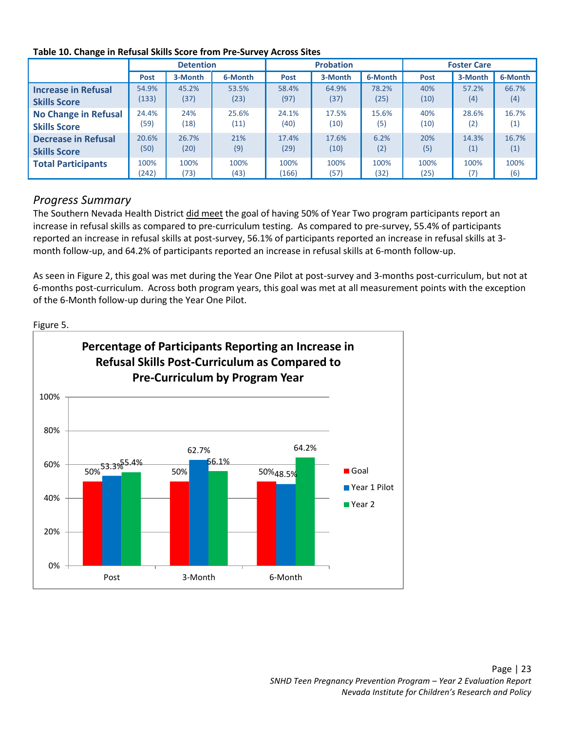|                             | <b>Detention</b> |         |         | <b>Probation</b> |         |         | <b>Foster Care</b> |         |         |
|-----------------------------|------------------|---------|---------|------------------|---------|---------|--------------------|---------|---------|
|                             | <b>Post</b>      | 3-Month | 6-Month | Post             | 3-Month | 6-Month | Post               | 3-Month | 6-Month |
| <b>Increase in Refusal</b>  | 54.9%            | 45.2%   | 53.5%   | 58.4%            | 64.9%   | 78.2%   | 40%                | 57.2%   | 66.7%   |
| <b>Skills Score</b>         | 133)             | (37)    | (23)    | (97)             | (37)    | (25)    | (10)               | (4)     | (4)     |
| <b>No Change in Refusal</b> | 24.4%            | 24%     | 25.6%   | 24.1%            | 17.5%   | 15.6%   | 40%                | 28.6%   | 16.7%   |
| <b>Skills Score</b>         | (59)             | (18)    | (11)    | (40)             | (10)    | (5)     | (10)               | (2)     | (1)     |
| <b>Decrease in Refusal</b>  | 20.6%            | 26.7%   | 21%     | 17.4%            | 17.6%   | 6.2%    | 20%                | 14.3%   | 16.7%   |
| <b>Skills Score</b>         | (50)             | (20)    | (9)     | (29)             | (10)    | (2)     | (5)                | (1)     | (1)     |
| <b>Total Participants</b>   | 100%             | 100%    | 100%    | 100%             | 100%    | 100%    | 100%               | 100%    | 100%    |
|                             | (242)            | (73)    | (43)    | (166)            | (57)    | (32)    | (25)               | (7)     | (6)     |

#### **Table 10. Change in Refusal Skills Score from Pre-Survey Across Sites**

# <span id="page-23-0"></span>*Progress Summary*

The Southern Nevada Health District did meet the goal of having 50% of Year Two program participants report an increase in refusal skills as compared to pre-curriculum testing. As compared to pre-survey, 55.4% of participants reported an increase in refusal skills at post-survey, 56.1% of participants reported an increase in refusal skills at 3 month follow-up, and 64.2% of participants reported an increase in refusal skills at 6-month follow-up.

As seen in Figure 2, this goal was met during the Year One Pilot at post-survey and 3-months post-curriculum, but not at 6-months post-curriculum. Across both program years, this goal was met at all measurement points with the exception of the 6-Month follow-up during the Year One Pilot.

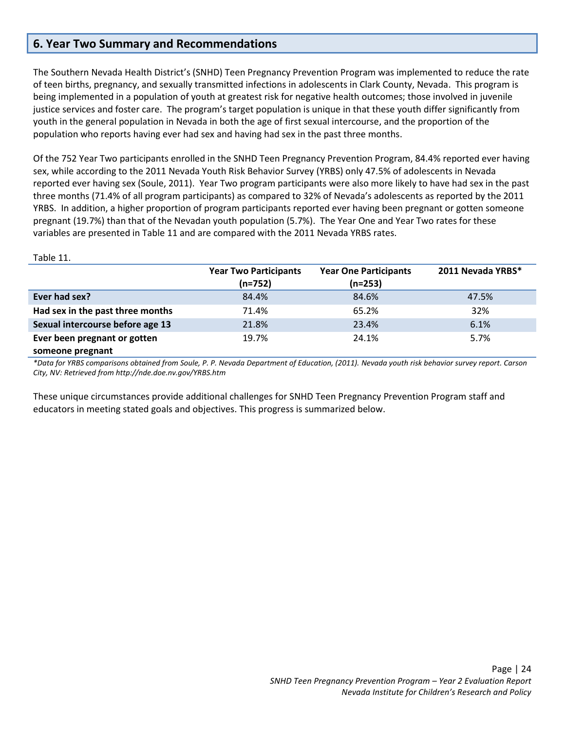## <span id="page-24-0"></span>**6. Year Two Summary and Recommendations**

Table 11.

The Southern Nevada Health District's (SNHD) Teen Pregnancy Prevention Program was implemented to reduce the rate of teen births, pregnancy, and sexually transmitted infections in adolescents in Clark County, Nevada. This program is being implemented in a population of youth at greatest risk for negative health outcomes; those involved in juvenile justice services and foster care. The program's target population is unique in that these youth differ significantly from youth in the general population in Nevada in both the age of first sexual intercourse, and the proportion of the population who reports having ever had sex and having had sex in the past three months.

Of the 752 Year Two participants enrolled in the SNHD Teen Pregnancy Prevention Program, 84.4% reported ever having sex, while according to the 2011 Nevada Youth Risk Behavior Survey (YRBS) only 47.5% of adolescents in Nevada reported ever having sex (Soule, 2011). Year Two program participants were also more likely to have had sex in the past three months (71.4% of all program participants) as compared to 32% of Nevada's adolescents as reported by the 2011 YRBS. In addition, a higher proportion of program participants reported ever having been pregnant or gotten someone pregnant (19.7%) than that of the Nevadan youth population (5.7%). The Year One and Year Two rates for these variables are presented in Table 11 and are compared with the 2011 Nevada YRBS rates.

|                                  | <b>Year Two Participants</b><br>(n=752) | <b>Year One Participants</b><br>$(n=253)$ | 2011 Nevada YRBS* |
|----------------------------------|-----------------------------------------|-------------------------------------------|-------------------|
| Ever had sex?                    | 84.4%                                   | 84.6%                                     | 47.5%             |
| Had sex in the past three months | 71.4%                                   | 65.2%                                     | 32%               |
| Sexual intercourse before age 13 | 21.8%                                   | 23.4%                                     | 6.1%              |
| Ever been pregnant or gotten     | 19.7%                                   | 24.1%                                     | 5.7%              |
| someone pregnant                 |                                         |                                           |                   |

*\*Data for YRBS comparisons obtained from Soule, P. P. Nevada Department of Education, (2011). Nevada youth risk behavior survey report. Carson City, NV: Retrieved from http://nde.doe.nv.gov/YRBS.htm*

These unique circumstances provide additional challenges for SNHD Teen Pregnancy Prevention Program staff and educators in meeting stated goals and objectives. This progress is summarized below.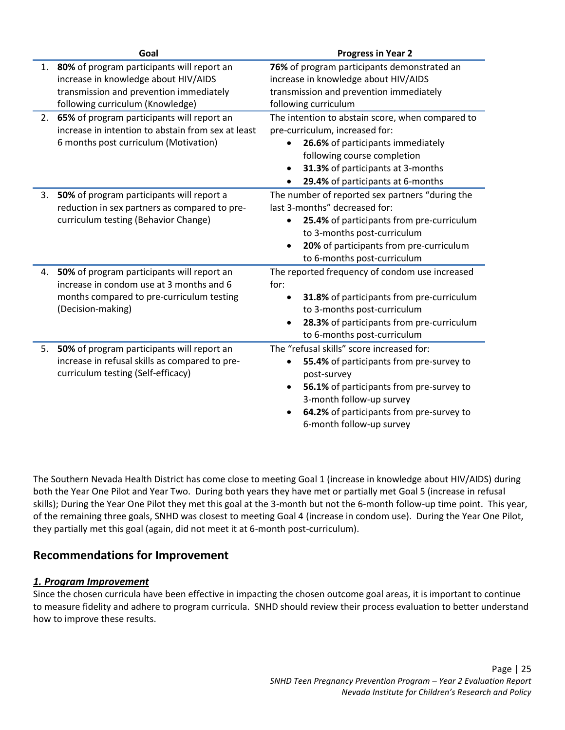|    | Goal                                                                                   | <b>Progress in Year 2</b>                                                             |
|----|----------------------------------------------------------------------------------------|---------------------------------------------------------------------------------------|
| 1. | 80% of program participants will report an                                             | 76% of program participants demonstrated an                                           |
|    | increase in knowledge about HIV/AIDS                                                   | increase in knowledge about HIV/AIDS                                                  |
|    | transmission and prevention immediately                                                | transmission and prevention immediately                                               |
|    | following curriculum (Knowledge)                                                       | following curriculum                                                                  |
| 2. | 65% of program participants will report an                                             | The intention to abstain score, when compared to                                      |
|    | increase in intention to abstain from sex at least                                     | pre-curriculum, increased for:                                                        |
|    | 6 months post curriculum (Motivation)                                                  | 26.6% of participants immediately<br>$\bullet$                                        |
|    |                                                                                        | following course completion                                                           |
|    |                                                                                        | 31.3% of participants at 3-months                                                     |
|    |                                                                                        | 29.4% of participants at 6-months                                                     |
| 3. | 50% of program participants will report a                                              | The number of reported sex partners "during the                                       |
|    | reduction in sex partners as compared to pre-                                          | last 3-months" decreased for:                                                         |
|    | curriculum testing (Behavior Change)                                                   | 25.4% of participants from pre-curriculum                                             |
|    |                                                                                        | to 3-months post-curriculum                                                           |
|    |                                                                                        | 20% of participants from pre-curriculum<br>$\bullet$                                  |
|    |                                                                                        | to 6-months post-curriculum                                                           |
| 4. | 50% of program participants will report an<br>increase in condom use at 3 months and 6 | The reported frequency of condom use increased<br>for:                                |
|    | months compared to pre-curriculum testing                                              | $\bullet$                                                                             |
|    | (Decision-making)                                                                      | 31.8% of participants from pre-curriculum<br>to 3-months post-curriculum              |
|    |                                                                                        |                                                                                       |
|    |                                                                                        | 28.3% of participants from pre-curriculum<br>$\bullet$<br>to 6-months post-curriculum |
| 5. | 50% of program participants will report an                                             | The "refusal skills" score increased for:                                             |
|    | increase in refusal skills as compared to pre-                                         |                                                                                       |
|    | curriculum testing (Self-efficacy)                                                     | 55.4% of participants from pre-survey to<br>post-survey                               |
|    |                                                                                        |                                                                                       |
|    |                                                                                        | 56.1% of participants from pre-survey to<br>$\bullet$<br>3-month follow-up survey     |
|    |                                                                                        |                                                                                       |
|    |                                                                                        | 64.2% of participants from pre-survey to                                              |
|    |                                                                                        | 6-month follow-up survey                                                              |

The Southern Nevada Health District has come close to meeting Goal 1 (increase in knowledge about HIV/AIDS) during both the Year One Pilot and Year Two. During both years they have met or partially met Goal 5 (increase in refusal skills); During the Year One Pilot they met this goal at the 3-month but not the 6-month follow-up time point. This year, of the remaining three goals, SNHD was closest to meeting Goal 4 (increase in condom use). During the Year One Pilot, they partially met this goal (again, did not meet it at 6-month post-curriculum).

# **Recommendations for Improvement**

### *1. Program Improvement*

Since the chosen curricula have been effective in impacting the chosen outcome goal areas, it is important to continue to measure fidelity and adhere to program curricula. SNHD should review their process evaluation to better understand how to improve these results.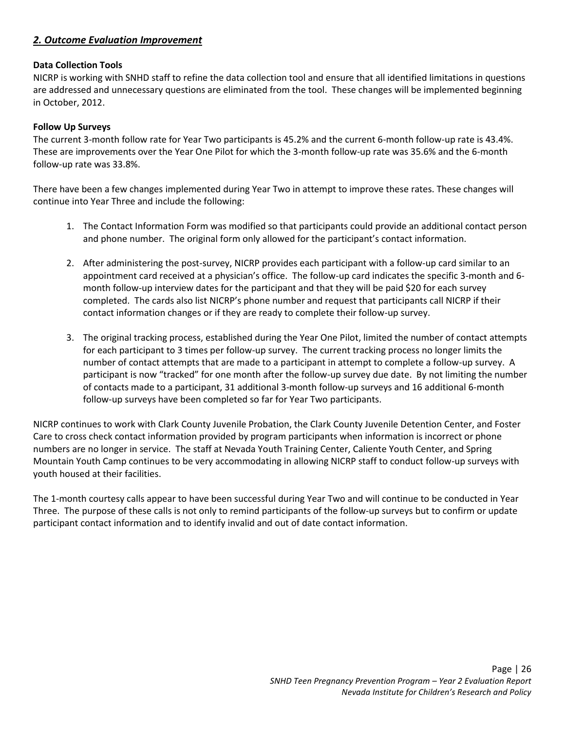#### *2. Outcome Evaluation Improvement*

#### **Data Collection Tools**

NICRP is working with SNHD staff to refine the data collection tool and ensure that all identified limitations in questions are addressed and unnecessary questions are eliminated from the tool. These changes will be implemented beginning in October, 2012.

#### **Follow Up Surveys**

The current 3-month follow rate for Year Two participants is 45.2% and the current 6-month follow-up rate is 43.4%. These are improvements over the Year One Pilot for which the 3-month follow-up rate was 35.6% and the 6-month follow-up rate was 33.8%.

There have been a few changes implemented during Year Two in attempt to improve these rates. These changes will continue into Year Three and include the following:

- 1. The Contact Information Form was modified so that participants could provide an additional contact person and phone number. The original form only allowed for the participant's contact information.
- 2. After administering the post-survey, NICRP provides each participant with a follow-up card similar to an appointment card received at a physician's office. The follow-up card indicates the specific 3-month and 6 month follow-up interview dates for the participant and that they will be paid \$20 for each survey completed. The cards also list NICRP's phone number and request that participants call NICRP if their contact information changes or if they are ready to complete their follow-up survey.
- 3. The original tracking process, established during the Year One Pilot, limited the number of contact attempts for each participant to 3 times per follow-up survey. The current tracking process no longer limits the number of contact attempts that are made to a participant in attempt to complete a follow-up survey. A participant is now "tracked" for one month after the follow-up survey due date. By not limiting the number of contacts made to a participant, 31 additional 3-month follow-up surveys and 16 additional 6-month follow-up surveys have been completed so far for Year Two participants.

NICRP continues to work with Clark County Juvenile Probation, the Clark County Juvenile Detention Center, and Foster Care to cross check contact information provided by program participants when information is incorrect or phone numbers are no longer in service. The staff at Nevada Youth Training Center, Caliente Youth Center, and Spring Mountain Youth Camp continues to be very accommodating in allowing NICRP staff to conduct follow-up surveys with youth housed at their facilities.

The 1-month courtesy calls appear to have been successful during Year Two and will continue to be conducted in Year Three. The purpose of these calls is not only to remind participants of the follow-up surveys but to confirm or update participant contact information and to identify invalid and out of date contact information.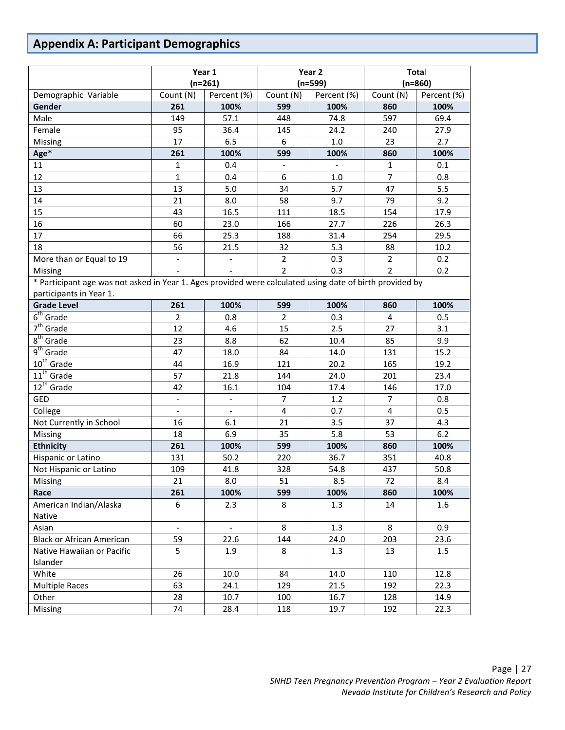# <span id="page-27-0"></span>**Appendix A: Participant Demographics**

|                                                                                                          | Year 1                   |                          | Year 2                       |             | <b>Total</b>   |             |
|----------------------------------------------------------------------------------------------------------|--------------------------|--------------------------|------------------------------|-------------|----------------|-------------|
|                                                                                                          | $(n=261)$                |                          | $(n=599)$                    |             | $(n=860)$      |             |
| Demographic Variable                                                                                     | Count (N)                | Percent (%)              | Count (N)                    | Percent (%) | Count (N)      | Percent (%) |
| Gender                                                                                                   | 261                      | 100%                     | 599                          | 100%        | 860            | 100%        |
| Male                                                                                                     | 149                      | 57.1                     | 448                          | 74.8        | 597            | 69.4        |
| Female                                                                                                   | 95                       | 36.4                     | 145                          | 24.2        | 240            | 27.9        |
| Missing                                                                                                  | 17                       | 6.5                      | 6                            | $1.0\,$     | 23             | 2.7         |
| Age*                                                                                                     | 261                      | 100%                     | 599                          | 100%        | 860            | 100%        |
| 11                                                                                                       | 1                        | 0.4                      | $\qquad \qquad \blacksquare$ |             | $\mathbf{1}$   | 0.1         |
| 12                                                                                                       | $\mathbf{1}$             | 0.4                      | 6                            | 1.0         | $\overline{7}$ | 0.8         |
| 13                                                                                                       | 13                       | 5.0                      | 34                           | 5.7         | 47             | 5.5         |
| 14                                                                                                       | 21                       | 8.0                      | 58                           | 9.7         | 79             | 9.2         |
| 15                                                                                                       | 43                       | 16.5                     | 111                          | 18.5        | 154            | 17.9        |
| 16                                                                                                       | 60                       | 23.0                     | 166                          | 27.7        | 226            | 26.3        |
| 17                                                                                                       | 66                       | 25.3                     | 188                          | 31.4        | 254            | 29.5        |
| 18                                                                                                       | 56                       | 21.5                     | 32                           | 5.3         | 88             | 10.2        |
| More than or Equal to 19                                                                                 | $\overline{\phantom{a}}$ |                          | $\overline{2}$               | 0.3         | $\overline{2}$ | 0.2         |
| Missing                                                                                                  |                          |                          | $\overline{2}$               | 0.3         | $\overline{2}$ | 0.2         |
| * Participant age was not asked in Year 1. Ages provided were calculated using date of birth provided by |                          |                          |                              |             |                |             |
| participants in Year 1.                                                                                  |                          |                          |                              |             |                |             |
| <b>Grade Level</b>                                                                                       | 261                      | 100%                     | 599                          | 100%        | 860            | 100%        |
| $6th$ Grade                                                                                              | $\overline{2}$           | 0.8                      | $\overline{2}$               | 0.3         | 4              | 0.5         |
| $7th$ Grade                                                                                              | 12                       | 4.6                      | 15                           | 2.5         | 27             | 3.1         |
| $8th$ Grade                                                                                              | 23                       | 8.8                      | 62                           | 10.4        | 85             | 9.9         |
| $9th$ Grade                                                                                              | 47                       | 18.0                     | 84                           | 14.0        | 131            | 15.2        |
| $10th$ Grade                                                                                             | 44                       | 16.9                     | 121                          | 20.2        | 165            | 19.2        |
| $11th$ Grade                                                                                             | 57                       | 21.8                     | 144                          | 24.0        | 201            | 23.4        |
| 12 <sup>th</sup> Grade                                                                                   | 42                       | 16.1                     | 104                          | 17.4        | 146            | 17.0        |
| <b>GED</b>                                                                                               | $\blacksquare$           | $\qquad \qquad -$        | $\overline{7}$               | 1.2         | $\overline{7}$ | 0.8         |
| College                                                                                                  | $\blacksquare$           | $\blacksquare$           | $\overline{\mathbf{4}}$      | 0.7         | 4              | 0.5         |
| Not Currently in School                                                                                  | 16                       | 6.1                      | 21                           | 3.5         | 37             | 4.3         |
| Missing                                                                                                  | 18                       | 6.9                      | 35                           | 5.8         | 53             | 6.2         |
| <b>Ethnicity</b>                                                                                         | 261                      | 100%                     | 599                          | 100%        | 860            | 100%        |
| Hispanic or Latino                                                                                       | 131                      | 50.2                     | 220                          | 36.7        | 351            | 40.8        |
| Not Hispanic or Latino                                                                                   | 109                      | 41.8                     | 328                          | 54.8        | 437            | 50.8        |
| Missing                                                                                                  | 21                       | 8.0                      | 51                           | 8.5         | 72             | 8.4         |
| Race                                                                                                     | 261                      | 100%                     | 599                          | 100%        | 860            | 100%        |
| American Indian/Alaska                                                                                   | 6                        | 2.3                      | 8                            | 1.3         | 14             | 1.6         |
| Native                                                                                                   |                          |                          |                              |             |                |             |
| Asian                                                                                                    | $\overline{\phantom{a}}$ | $\overline{\phantom{a}}$ | 8                            | 1.3         | 8              | 0.9         |
| <b>Black or African American</b>                                                                         | 59                       | 22.6                     | 144                          | 24.0        | 203            | 23.6        |
| Native Hawaiian or Pacific                                                                               | 5                        | 1.9                      | 8                            | 1.3         | 13             | 1.5         |
| Islander                                                                                                 |                          |                          |                              |             |                |             |
| White                                                                                                    | 26                       | 10.0                     | 84                           | 14.0        | 110            | 12.8        |
| <b>Multiple Races</b>                                                                                    | 63                       | 24.1                     | 129                          | 21.5        | 192            | 22.3        |
| Other                                                                                                    | 28                       | 10.7                     | 100                          | 16.7        | 128            | 14.9        |
| Missing                                                                                                  | 74                       | 28.4                     | 118                          | 19.7        | 192            | 22.3        |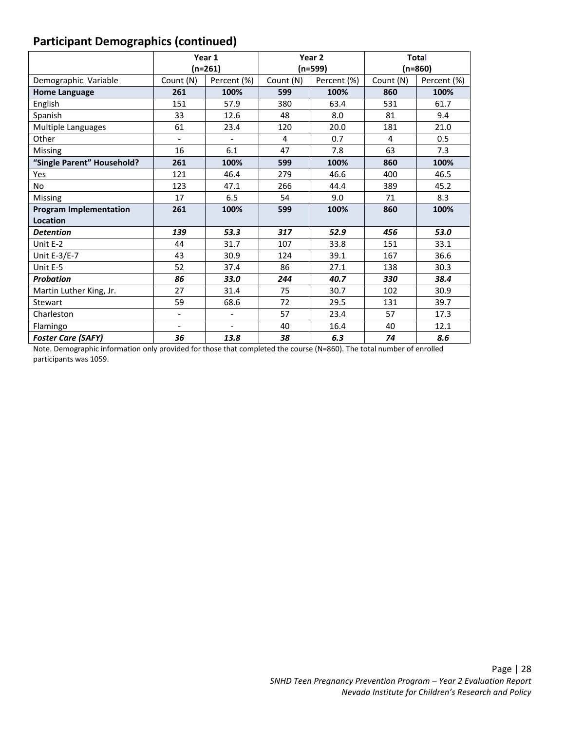# **Participant Demographics (continued)**

|                               |                | Year 1                   | Year <sub>2</sub> |             | <b>Total</b> |             |  |
|-------------------------------|----------------|--------------------------|-------------------|-------------|--------------|-------------|--|
|                               |                | $(n=261)$                | $(n=599)$         |             | (n=860)      |             |  |
| Demographic Variable          | Count (N)      | Percent (%)              | Count (N)         | Percent (%) | Count (N)    | Percent (%) |  |
| <b>Home Language</b>          | 261            | 100%                     | 599               | 100%        | 860          | 100%        |  |
| English                       | 151            | 57.9                     | 380               | 63.4        | 531          | 61.7        |  |
| Spanish                       | 33             | 12.6                     | 48                | 8.0         | 81           | 9.4         |  |
| <b>Multiple Languages</b>     | 61             | 23.4                     | 120               | 20.0        | 181          | 21.0        |  |
| Other                         | $\blacksquare$ | $\overline{\phantom{a}}$ | 4                 | 0.7         | 4            | 0.5         |  |
| Missing                       | 16             | 6.1                      | 47                | 7.8         | 63           | 7.3         |  |
| "Single Parent" Household?    | 261            | 100%                     | 599               | 100%        | 860          | 100%        |  |
| Yes                           | 121            | 46.4                     | 279               | 46.6        | 400          | 46.5        |  |
| <b>No</b>                     | 123            | 47.1                     | 266               | 44.4        | 389          | 45.2        |  |
| Missing                       | 17             | 6.5                      | 54                | 9.0         | 71           | 8.3         |  |
| <b>Program Implementation</b> | 261            | 100%                     | 599               | 100%        | 860          | 100%        |  |
| Location                      |                |                          |                   |             |              |             |  |
| <b>Detention</b>              | 139            | 53.3                     | 317               | 52.9        | 456          | 53.0        |  |
| Unit E-2                      | 44             | 31.7                     | 107               | 33.8        | 151          | 33.1        |  |
| Unit E-3/E-7                  | 43             | 30.9                     | 124               | 39.1        | 167          | 36.6        |  |
| Unit E-5                      | 52             | 37.4                     | 86                | 27.1        | 138          | 30.3        |  |
| <b>Probation</b>              | 86             | 33.0                     | 244               | 40.7        | 330          | 38.4        |  |
| Martin Luther King, Jr.       | 27             | 31.4                     | 75                | 30.7        | 102          | 30.9        |  |
| Stewart                       | 59             | 68.6                     | 72                | 29.5        | 131          | 39.7        |  |
| Charleston                    |                | $\overline{\phantom{a}}$ | 57                | 23.4        | 57           | 17.3        |  |
| Flamingo                      |                | $\overline{a}$           | 40                | 16.4        | 40           | 12.1        |  |
| <b>Foster Care (SAFY)</b>     | 36             | 13.8                     | 38                | 6.3         | 74           | 8.6         |  |

Note. Demographic information only provided for those that completed the course (N=860). The total number of enrolled participants was 1059.